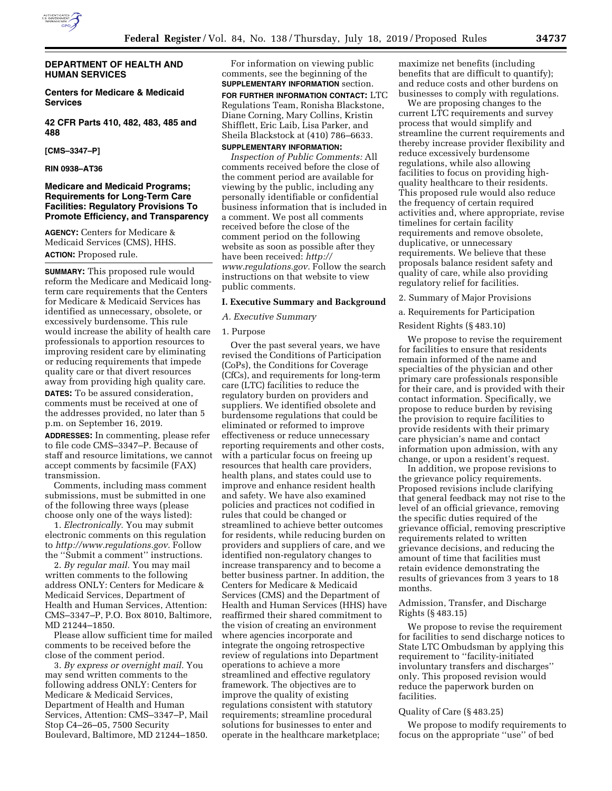

# **DEPARTMENT OF HEALTH AND HUMAN SERVICES**

**Centers for Medicare & Medicaid Services** 

**42 CFR Parts 410, 482, 483, 485 and 488** 

#### **[CMS–3347–P]**

# **RIN 0938–AT36**

# **Medicare and Medicaid Programs; Requirements for Long-Term Care Facilities: Regulatory Provisions To Promote Efficiency, and Transparency**

**AGENCY:** Centers for Medicare & Medicaid Services (CMS), HHS. **ACTION:** Proposed rule.

**SUMMARY:** This proposed rule would reform the Medicare and Medicaid longterm care requirements that the Centers for Medicare & Medicaid Services has identified as unnecessary, obsolete, or excessively burdensome. This rule would increase the ability of health care professionals to apportion resources to improving resident care by eliminating or reducing requirements that impede quality care or that divert resources away from providing high quality care.

**DATES:** To be assured consideration, comments must be received at one of the addresses provided, no later than 5 p.m. on September 16, 2019.

**ADDRESSES:** In commenting, please refer to file code CMS–3347–P. Because of staff and resource limitations, we cannot accept comments by facsimile (FAX) transmission.

Comments, including mass comment submissions, must be submitted in one of the following three ways (please choose only one of the ways listed):

1. *Electronically.* You may submit electronic comments on this regulation to *[http://www.regulations.gov.](http://www.regulations.gov)* Follow the ''Submit a comment'' instructions.

2. *By regular mail.* You may mail written comments to the following address ONLY: Centers for Medicare & Medicaid Services, Department of Health and Human Services, Attention: CMS–3347–P, P.O. Box 8010, Baltimore, MD 21244–1850.

Please allow sufficient time for mailed comments to be received before the close of the comment period.

3. *By express or overnight mail.* You may send written comments to the following address ONLY: Centers for Medicare & Medicaid Services, Department of Health and Human Services, Attention: CMS–3347–P, Mail Stop C4–26–05, 7500 Security Boulevard, Baltimore, MD 21244–1850.

For information on viewing public comments, see the beginning of the **SUPPLEMENTARY INFORMATION** section. **FOR FURTHER INFORMATION CONTACT:** LTC Regulations Team, Ronisha Blackstone,

Diane Corning, Mary Collins, Kristin Shifflett, Eric Laib, Lisa Parker, and Sheila Blackstock at (410) 786–6633.

# **SUPPLEMENTARY INFORMATION:**

*Inspection of Public Comments:* All comments received before the close of the comment period are available for viewing by the public, including any personally identifiable or confidential business information that is included in a comment. We post all comments received before the close of the comment period on the following website as soon as possible after they have been received: *[http://](http://www.regulations.gov) [www.regulations.gov.](http://www.regulations.gov)* Follow the search instructions on that website to view public comments.

#### **I. Executive Summary and Background**

# *A. Executive Summary*

#### 1. Purpose

Over the past several years, we have revised the Conditions of Participation (CoPs), the Conditions for Coverage (CfCs), and requirements for long-term care (LTC) facilities to reduce the regulatory burden on providers and suppliers. We identified obsolete and burdensome regulations that could be eliminated or reformed to improve effectiveness or reduce unnecessary reporting requirements and other costs, with a particular focus on freeing up resources that health care providers, health plans, and states could use to improve and enhance resident health and safety. We have also examined policies and practices not codified in rules that could be changed or streamlined to achieve better outcomes for residents, while reducing burden on providers and suppliers of care, and we identified non-regulatory changes to increase transparency and to become a better business partner. In addition, the Centers for Medicare & Medicaid Services (CMS) and the Department of Health and Human Services (HHS) have reaffirmed their shared commitment to the vision of creating an environment where agencies incorporate and integrate the ongoing retrospective review of regulations into Department operations to achieve a more streamlined and effective regulatory framework. The objectives are to improve the quality of existing regulations consistent with statutory requirements; streamline procedural solutions for businesses to enter and operate in the healthcare marketplace;

maximize net benefits (including benefits that are difficult to quantify); and reduce costs and other burdens on businesses to comply with regulations.

We are proposing changes to the current LTC requirements and survey process that would simplify and streamline the current requirements and thereby increase provider flexibility and reduce excessively burdensome regulations, while also allowing facilities to focus on providing highquality healthcare to their residents. This proposed rule would also reduce the frequency of certain required activities and, where appropriate, revise timelines for certain facility requirements and remove obsolete, duplicative, or unnecessary requirements. We believe that these proposals balance resident safety and quality of care, while also providing regulatory relief for facilities.

2. Summary of Major Provisions

a. Requirements for Participation

Resident Rights (§ 483.10)

We propose to revise the requirement for facilities to ensure that residents remain informed of the name and specialties of the physician and other primary care professionals responsible for their care, and is provided with their contact information. Specifically, we propose to reduce burden by revising the provision to require facilities to provide residents with their primary care physician's name and contact information upon admission, with any change, or upon a resident's request.

In addition, we propose revisions to the grievance policy requirements. Proposed revisions include clarifying that general feedback may not rise to the level of an official grievance, removing the specific duties required of the grievance official, removing prescriptive requirements related to written grievance decisions, and reducing the amount of time that facilities must retain evidence demonstrating the results of grievances from 3 years to 18 months.

# Admission, Transfer, and Discharge Rights (§ 483.15)

We propose to revise the requirement for facilities to send discharge notices to State LTC Ombudsman by applying this requirement to ''facility-initiated involuntary transfers and discharges'' only. This proposed revision would reduce the paperwork burden on facilities.

#### Quality of Care (§ 483.25)

We propose to modify requirements to focus on the appropriate ''use'' of bed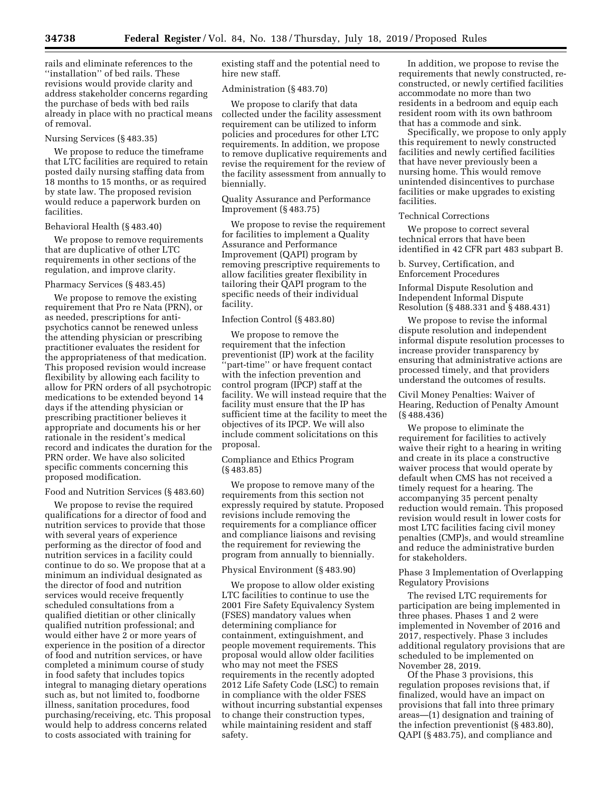rails and eliminate references to the ''installation'' of bed rails. These revisions would provide clarity and address stakeholder concerns regarding the purchase of beds with bed rails already in place with no practical means of removal.

#### Nursing Services (§ 483.35)

We propose to reduce the timeframe that LTC facilities are required to retain posted daily nursing staffing data from 18 months to 15 months, or as required by state law. The proposed revision would reduce a paperwork burden on facilities.

# Behavioral Health (§ 483.40)

We propose to remove requirements that are duplicative of other LTC requirements in other sections of the regulation, and improve clarity.

#### Pharmacy Services (§ 483.45)

We propose to remove the existing requirement that Pro re Nata (PRN), or as needed, prescriptions for antipsychotics cannot be renewed unless the attending physician or prescribing practitioner evaluates the resident for the appropriateness of that medication. This proposed revision would increase flexibility by allowing each facility to allow for PRN orders of all psychotropic medications to be extended beyond 14 days if the attending physician or prescribing practitioner believes it appropriate and documents his or her rationale in the resident's medical record and indicates the duration for the PRN order. We have also solicited specific comments concerning this proposed modification.

# Food and Nutrition Services (§ 483.60)

We propose to revise the required qualifications for a director of food and nutrition services to provide that those with several years of experience performing as the director of food and nutrition services in a facility could continue to do so. We propose that at a minimum an individual designated as the director of food and nutrition services would receive frequently scheduled consultations from a qualified dietitian or other clinically qualified nutrition professional; and would either have 2 or more years of experience in the position of a director of food and nutrition services, or have completed a minimum course of study in food safety that includes topics integral to managing dietary operations such as, but not limited to, foodborne illness, sanitation procedures, food purchasing/receiving, etc. This proposal would help to address concerns related to costs associated with training for

existing staff and the potential need to hire new staff.

## Administration (§ 483.70)

We propose to clarify that data collected under the facility assessment requirement can be utilized to inform policies and procedures for other LTC requirements. In addition, we propose to remove duplicative requirements and revise the requirement for the review of the facility assessment from annually to biennially.

#### Quality Assurance and Performance Improvement (§ 483.75)

We propose to revise the requirement for facilities to implement a Quality Assurance and Performance Improvement (QAPI) program by removing prescriptive requirements to allow facilities greater flexibility in tailoring their QAPI program to the specific needs of their individual facility.

# Infection Control (§ 483.80)

We propose to remove the requirement that the infection preventionist (IP) work at the facility 'part-time'' or have frequent contact with the infection prevention and control program (IPCP) staff at the facility. We will instead require that the facility must ensure that the IP has sufficient time at the facility to meet the objectives of its IPCP. We will also include comment solicitations on this proposal.

# Compliance and Ethics Program (§ 483.85)

We propose to remove many of the requirements from this section not expressly required by statute. Proposed revisions include removing the requirements for a compliance officer and compliance liaisons and revising the requirement for reviewing the program from annually to biennially.

# Physical Environment (§ 483.90)

We propose to allow older existing LTC facilities to continue to use the 2001 Fire Safety Equivalency System (FSES) mandatory values when determining compliance for containment, extinguishment, and people movement requirements. This proposal would allow older facilities who may not meet the FSES requirements in the recently adopted 2012 Life Safety Code (LSC) to remain in compliance with the older FSES without incurring substantial expenses to change their construction types, while maintaining resident and staff safety.

In addition, we propose to revise the requirements that newly constructed, reconstructed, or newly certified facilities accommodate no more than two residents in a bedroom and equip each resident room with its own bathroom that has a commode and sink.

Specifically, we propose to only apply this requirement to newly constructed facilities and newly certified facilities that have never previously been a nursing home. This would remove unintended disincentives to purchase facilities or make upgrades to existing facilities.

#### Technical Corrections

We propose to correct several technical errors that have been identified in 42 CFR part 483 subpart B.

# b. Survey, Certification, and Enforcement Procedures

Informal Dispute Resolution and Independent Informal Dispute Resolution (§ 488.331 and § 488.431)

We propose to revise the informal dispute resolution and independent informal dispute resolution processes to increase provider transparency by ensuring that administrative actions are processed timely, and that providers understand the outcomes of results.

Civil Money Penalties: Waiver of Hearing, Reduction of Penalty Amount (§ 488.436)

We propose to eliminate the requirement for facilities to actively waive their right to a hearing in writing and create in its place a constructive waiver process that would operate by default when CMS has not received a timely request for a hearing. The accompanying 35 percent penalty reduction would remain. This proposed revision would result in lower costs for most LTC facilities facing civil money penalties (CMP)s, and would streamline and reduce the administrative burden for stakeholders.

# Phase 3 Implementation of Overlapping Regulatory Provisions

The revised LTC requirements for participation are being implemented in three phases. Phases 1 and 2 were implemented in November of 2016 and 2017, respectively. Phase 3 includes additional regulatory provisions that are scheduled to be implemented on November 28, 2019.

Of the Phase 3 provisions, this regulation proposes revisions that, if finalized, would have an impact on provisions that fall into three primary areas—(1) designation and training of the infection preventionist (§ 483.80), QAPI (§ 483.75), and compliance and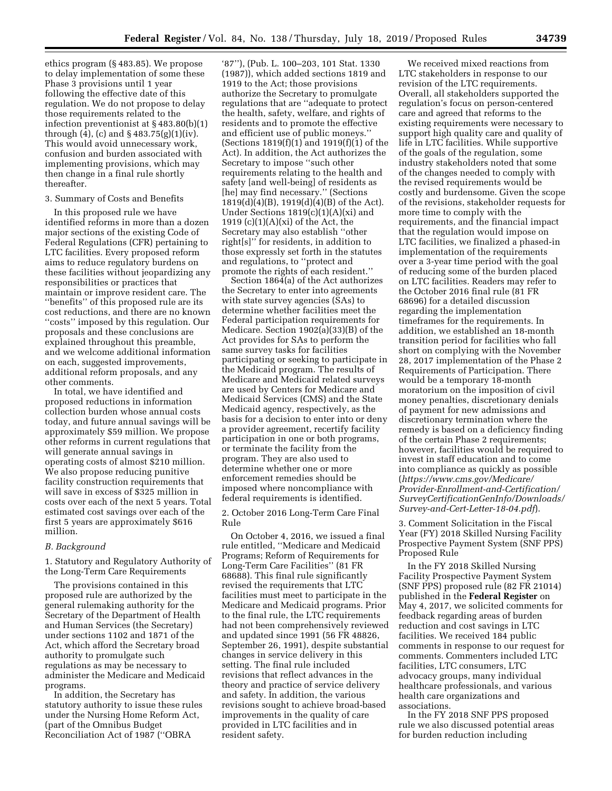ethics program (§ 483.85). We propose to delay implementation of some these Phase 3 provisions until 1 year following the effective date of this regulation. We do not propose to delay those requirements related to the infection preventionist at § 483.80(b)(1) through  $(4)$ ,  $(c)$  and  $\S 483.75(g)(1)(iv)$ . This would avoid unnecessary work, confusion and burden associated with implementing provisions, which may then change in a final rule shortly thereafter.

#### 3. Summary of Costs and Benefits

In this proposed rule we have identified reforms in more than a dozen major sections of the existing Code of Federal Regulations (CFR) pertaining to LTC facilities. Every proposed reform aims to reduce regulatory burdens on these facilities without jeopardizing any responsibilities or practices that maintain or improve resident care. The ''benefits'' of this proposed rule are its cost reductions, and there are no known ''costs'' imposed by this regulation. Our proposals and these conclusions are explained throughout this preamble, and we welcome additional information on each, suggested improvements, additional reform proposals, and any other comments.

In total, we have identified and proposed reductions in information collection burden whose annual costs today, and future annual savings will be approximately \$59 million. We propose other reforms in current regulations that will generate annual savings in operating costs of almost \$210 million. We also propose reducing punitive facility construction requirements that will save in excess of \$325 million in costs over each of the next 5 years. Total estimated cost savings over each of the first 5 years are approximately \$616 million.

## *B. Background*

1. Statutory and Regulatory Authority of the Long-Term Care Requirements

The provisions contained in this proposed rule are authorized by the general rulemaking authority for the Secretary of the Department of Health and Human Services (the Secretary) under sections 1102 and 1871 of the Act, which afford the Secretary broad authority to promulgate such regulations as may be necessary to administer the Medicare and Medicaid programs.

In addition, the Secretary has statutory authority to issue these rules under the Nursing Home Reform Act, (part of the Omnibus Budget Reconciliation Act of 1987 (''OBRA

'87''), (Pub. L. 100–203, 101 Stat. 1330 (1987)), which added sections 1819 and 1919 to the Act; those provisions authorize the Secretary to promulgate regulations that are ''adequate to protect the health, safety, welfare, and rights of residents and to promote the effective and efficient use of public moneys.'' (Sections 1819(f)(1) and 1919(f)(1) of the Act). In addition, the Act authorizes the Secretary to impose ''such other requirements relating to the health and safety [and well-being] of residents as [he] may find necessary." (Sections 1819(d)(4)(B), 1919(d)(4)(B) of the Act). Under Sections  $1819(c)(1)(A)(xi)$  and 1919 (c) $(1)(A)(xi)$  of the Act, the Secretary may also establish ''other right[s]'' for residents, in addition to those expressly set forth in the statutes and regulations, to ''protect and promote the rights of each resident.''

Section 1864(a) of the Act authorizes the Secretary to enter into agreements with state survey agencies (SAs) to determine whether facilities meet the Federal participation requirements for Medicare. Section 1902(a)(33)(B) of the Act provides for SAs to perform the same survey tasks for facilities participating or seeking to participate in the Medicaid program. The results of Medicare and Medicaid related surveys are used by Centers for Medicare and Medicaid Services (CMS) and the State Medicaid agency, respectively, as the basis for a decision to enter into or deny a provider agreement, recertify facility participation in one or both programs, or terminate the facility from the program. They are also used to determine whether one or more enforcement remedies should be imposed where noncompliance with federal requirements is identified.

2. October 2016 Long-Term Care Final Rule

On October 4, 2016, we issued a final rule entitled, ''Medicare and Medicaid Programs; Reform of Requirements for Long-Term Care Facilities'' (81 FR 68688). This final rule significantly revised the requirements that LTC facilities must meet to participate in the Medicare and Medicaid programs. Prior to the final rule, the LTC requirements had not been comprehensively reviewed and updated since 1991 (56 FR 48826, September 26, 1991), despite substantial changes in service delivery in this setting. The final rule included revisions that reflect advances in the theory and practice of service delivery and safety. In addition, the various revisions sought to achieve broad-based improvements in the quality of care provided in LTC facilities and in resident safety.

We received mixed reactions from LTC stakeholders in response to our revision of the LTC requirements. Overall, all stakeholders supported the regulation's focus on person-centered care and agreed that reforms to the existing requirements were necessary to support high quality care and quality of life in LTC facilities. While supportive of the goals of the regulation, some industry stakeholders noted that some of the changes needed to comply with the revised requirements would be costly and burdensome. Given the scope of the revisions, stakeholder requests for more time to comply with the requirements, and the financial impact that the regulation would impose on LTC facilities, we finalized a phased-in implementation of the requirements over a 3-year time period with the goal of reducing some of the burden placed on LTC facilities. Readers may refer to the October 2016 final rule (81 FR 68696) for a detailed discussion regarding the implementation timeframes for the requirements. In addition, we established an 18-month transition period for facilities who fall short on complying with the November 28, 2017 implementation of the Phase 2 Requirements of Participation. There would be a temporary 18-month moratorium on the imposition of civil money penalties, discretionary denials of payment for new admissions and discretionary termination where the remedy is based on a deficiency finding of the certain Phase 2 requirements; however, facilities would be required to invest in staff education and to come into compliance as quickly as possible (*[https://www.cms.gov/Medicare/](https://www.cms.gov/Medicare/Provider-Enrollment-and-Certification/SurveyCertificationGenInfo/Downloads/Survey-and-Cert-Letter-18-04.pdf) [Provider-Enrollment-and-Certification/](https://www.cms.gov/Medicare/Provider-Enrollment-and-Certification/SurveyCertificationGenInfo/Downloads/Survey-and-Cert-Letter-18-04.pdf) [SurveyCertificationGenInfo/Downloads/](https://www.cms.gov/Medicare/Provider-Enrollment-and-Certification/SurveyCertificationGenInfo/Downloads/Survey-and-Cert-Letter-18-04.pdf) [Survey-and-Cert-Letter-18-04.pdf](https://www.cms.gov/Medicare/Provider-Enrollment-and-Certification/SurveyCertificationGenInfo/Downloads/Survey-and-Cert-Letter-18-04.pdf)*).

3. Comment Solicitation in the Fiscal Year (FY) 2018 Skilled Nursing Facility Prospective Payment System (SNF PPS) Proposed Rule

In the FY 2018 Skilled Nursing Facility Prospective Payment System (SNF PPS) proposed rule (82 FR 21014) published in the **Federal Register** on May 4, 2017, we solicited comments for feedback regarding areas of burden reduction and cost savings in LTC facilities. We received 184 public comments in response to our request for comments. Commenters included LTC facilities, LTC consumers, LTC advocacy groups, many individual healthcare professionals, and various health care organizations and associations.

In the FY 2018 SNF PPS proposed rule we also discussed potential areas for burden reduction including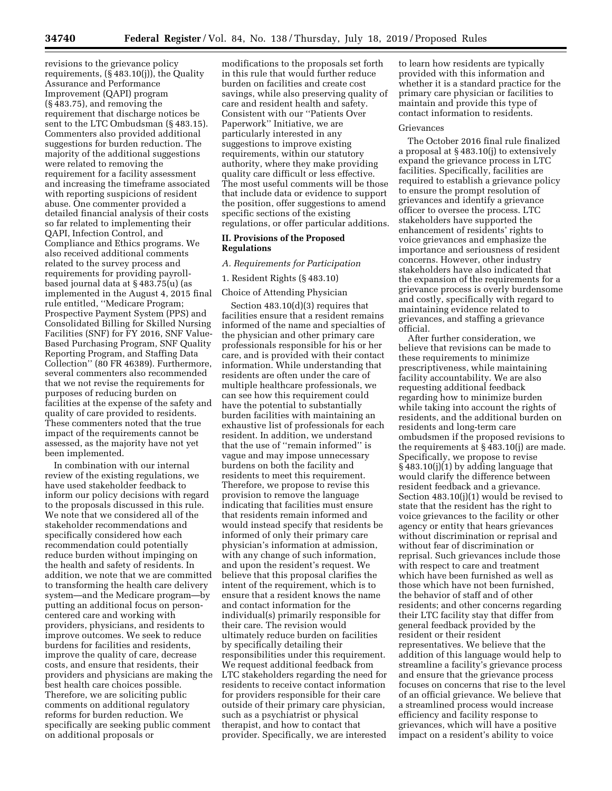revisions to the grievance policy requirements, (§ 483.10(j)), the Quality Assurance and Performance Improvement (QAPI) program (§ 483.75), and removing the requirement that discharge notices be sent to the LTC Ombudsman (§ 483.15). Commenters also provided additional suggestions for burden reduction. The majority of the additional suggestions were related to removing the requirement for a facility assessment and increasing the timeframe associated with reporting suspicions of resident abuse. One commenter provided a detailed financial analysis of their costs so far related to implementing their QAPI, Infection Control, and Compliance and Ethics programs. We also received additional comments related to the survey process and requirements for providing payrollbased journal data at § 483.75(u) (as implemented in the August 4, 2015 final rule entitled, ''Medicare Program; Prospective Payment System (PPS) and Consolidated Billing for Skilled Nursing Facilities (SNF) for FY 2016, SNF Value-Based Purchasing Program, SNF Quality Reporting Program, and Staffing Data Collection'' (80 FR 46389). Furthermore, several commenters also recommended that we not revise the requirements for purposes of reducing burden on facilities at the expense of the safety and quality of care provided to residents. These commenters noted that the true impact of the requirements cannot be assessed, as the majority have not yet been implemented.

In combination with our internal review of the existing regulations, we have used stakeholder feedback to inform our policy decisions with regard to the proposals discussed in this rule. We note that we considered all of the stakeholder recommendations and specifically considered how each recommendation could potentially reduce burden without impinging on the health and safety of residents. In addition, we note that we are committed to transforming the health care delivery system—and the Medicare program—by putting an additional focus on personcentered care and working with providers, physicians, and residents to improve outcomes. We seek to reduce burdens for facilities and residents, improve the quality of care, decrease costs, and ensure that residents, their providers and physicians are making the best health care choices possible. Therefore, we are soliciting public comments on additional regulatory reforms for burden reduction. We specifically are seeking public comment on additional proposals or

modifications to the proposals set forth in this rule that would further reduce burden on facilities and create cost savings, while also preserving quality of care and resident health and safety. Consistent with our ''Patients Over Paperwork'' Initiative, we are particularly interested in any suggestions to improve existing requirements, within our statutory authority, where they make providing quality care difficult or less effective. The most useful comments will be those that include data or evidence to support the position, offer suggestions to amend specific sections of the existing regulations, or offer particular additions.

# **II. Provisions of the Proposed Regulations**

### *A. Requirements for Participation*

1. Resident Rights (§ 483.10)

Choice of Attending Physician

Section 483.10(d)(3) requires that facilities ensure that a resident remains informed of the name and specialties of the physician and other primary care professionals responsible for his or her care, and is provided with their contact information. While understanding that residents are often under the care of multiple healthcare professionals, we can see how this requirement could have the potential to substantially burden facilities with maintaining an exhaustive list of professionals for each resident. In addition, we understand that the use of ''remain informed'' is vague and may impose unnecessary burdens on both the facility and residents to meet this requirement. Therefore, we propose to revise this provision to remove the language indicating that facilities must ensure that residents remain informed and would instead specify that residents be informed of only their primary care physician's information at admission, with any change of such information, and upon the resident's request. We believe that this proposal clarifies the intent of the requirement, which is to ensure that a resident knows the name and contact information for the individual(s) primarily responsible for their care. The revision would ultimately reduce burden on facilities by specifically detailing their responsibilities under this requirement. We request additional feedback from LTC stakeholders regarding the need for residents to receive contact information for providers responsible for their care outside of their primary care physician, such as a psychiatrist or physical therapist, and how to contact that provider. Specifically, we are interested

to learn how residents are typically provided with this information and whether it is a standard practice for the primary care physician or facilities to maintain and provide this type of contact information to residents.

#### Grievances

The October 2016 final rule finalized a proposal at § 483.10(j) to extensively expand the grievance process in LTC facilities. Specifically, facilities are required to establish a grievance policy to ensure the prompt resolution of grievances and identify a grievance officer to oversee the process. LTC stakeholders have supported the enhancement of residents' rights to voice grievances and emphasize the importance and seriousness of resident concerns. However, other industry stakeholders have also indicated that the expansion of the requirements for a grievance process is overly burdensome and costly, specifically with regard to maintaining evidence related to grievances, and staffing a grievance official.

After further consideration, we believe that revisions can be made to these requirements to minimize prescriptiveness, while maintaining facility accountability. We are also requesting additional feedback regarding how to minimize burden while taking into account the rights of residents, and the additional burden on residents and long-term care ombudsmen if the proposed revisions to the requirements at § 483.10(j) are made. Specifically, we propose to revise § 483.10(j)(1) by adding language that would clarify the difference between resident feedback and a grievance. Section 483.10(j)(1) would be revised to state that the resident has the right to voice grievances to the facility or other agency or entity that hears grievances without discrimination or reprisal and without fear of discrimination or reprisal. Such grievances include those with respect to care and treatment which have been furnished as well as those which have not been furnished, the behavior of staff and of other residents; and other concerns regarding their LTC facility stay that differ from general feedback provided by the resident or their resident representatives. We believe that the addition of this language would help to streamline a facility's grievance process and ensure that the grievance process focuses on concerns that rise to the level of an official grievance. We believe that a streamlined process would increase efficiency and facility response to grievances, which will have a positive impact on a resident's ability to voice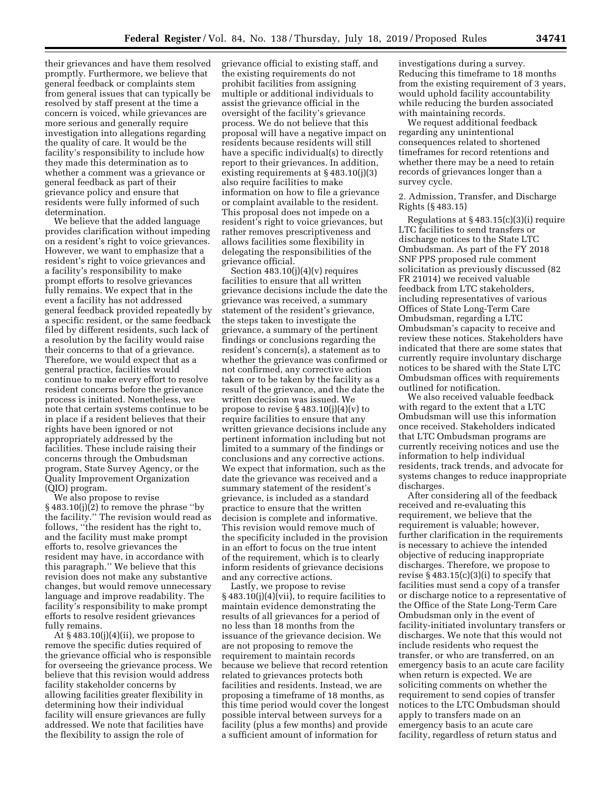their grievances and have them resolved promptly. Furthermore, we believe that general feedback or complaints stem from general issues that can typically be resolved by staff present at the time a concern is voiced, while grievances are more serious and generally require investigation into allegations regarding the quality of care. It would be the facility's responsibility to include how they made this determination as to whether a comment was a grievance or general feedback as part of their grievance policy and ensure that residents were fully informed of such determination.

We believe that the added language provides clarification without impeding on a resident's right to voice grievances. However, we want to emphasize that a resident's right to voice grievances and a facility's responsibility to make prompt efforts to resolve grievances fully remains. We expect that in the event a facility has not addressed general feedback provided repeatedly by a specific resident, or the same feedback filed by different residents, such lack of a resolution by the facility would raise their concerns to that of a grievance. Therefore, we would expect that as a general practice, facilities would continue to make every effort to resolve resident concerns before the grievance process is initiated. Nonetheless, we note that certain systems continue to be in place if a resident believes that their rights have been ignored or not appropriately addressed by the facilities. These include raising their concerns through the Ombudsman program, State Survey Agency, or the Quality Improvement Organization (QIO) program.

We also propose to revise § 483.10(j)(2) to remove the phrase ''by the facility.'' The revision would read as follows, ''the resident has the right to, and the facility must make prompt efforts to, resolve grievances the resident may have, in accordance with this paragraph.'' We believe that this revision does not make any substantive changes, but would remove unnecessary language and improve readability. The facility's responsibility to make prompt efforts to resolve resident grievances fully remains.

At  $§$  483.10(i)(4)(ii), we propose to remove the specific duties required of the grievance official who is responsible for overseeing the grievance process. We believe that this revision would address facility stakeholder concerns by allowing facilities greater flexibility in determining how their individual facility will ensure grievances are fully addressed. We note that facilities have the flexibility to assign the role of

grievance official to existing staff, and the existing requirements do not prohibit facilities from assigning multiple or additional individuals to assist the grievance official in the oversight of the facility's grievance process. We do not believe that this proposal will have a negative impact on residents because residents will still have a specific individual(s) to directly report to their grievances. In addition, existing requirements at § 483.10(j)(3) also require facilities to make information on how to file a grievance or complaint available to the resident. This proposal does not impede on a resident's right to voice grievances, but rather removes prescriptiveness and allows facilities some flexibility in delegating the responsibilities of the grievance official.

Section  $483.10(j)(4)(v)$  requires facilities to ensure that all written grievance decisions include the date the grievance was received, a summary statement of the resident's grievance, the steps taken to investigate the grievance, a summary of the pertinent findings or conclusions regarding the resident's concern(s), a statement as to whether the grievance was confirmed or not confirmed, any corrective action taken or to be taken by the facility as a result of the grievance, and the date the written decision was issued. We propose to revise  $\S 483.10(i)(4)(v)$  to require facilities to ensure that any written grievance decisions include any pertinent information including but not limited to a summary of the findings or conclusions and any corrective actions. We expect that information, such as the date the grievance was received and a summary statement of the resident's grievance, is included as a standard practice to ensure that the written decision is complete and informative. This revision would remove much of the specificity included in the provision in an effort to focus on the true intent of the requirement, which is to clearly inform residents of grievance decisions and any corrective actions.

Lastly, we propose to revise § 483.10(j)(4)(vii), to require facilities to maintain evidence demonstrating the results of all grievances for a period of no less than 18 months from the issuance of the grievance decision. We are not proposing to remove the requirement to maintain records because we believe that record retention related to grievances protects both facilities and residents. Instead, we are proposing a timeframe of 18 months, as this time period would cover the longest possible interval between surveys for a facility (plus a few months) and provide a sufficient amount of information for

investigations during a survey. Reducing this timeframe to 18 months from the existing requirement of 3 years, would uphold facility accountability while reducing the burden associated with maintaining records.

We request additional feedback regarding any unintentional consequences related to shortened timeframes for record retentions and whether there may be a need to retain records of grievances longer than a survey cycle.

2. Admission, Transfer, and Discharge Rights (§ 483.15)

Regulations at § 483.15(c)(3)(i) require LTC facilities to send transfers or discharge notices to the State LTC Ombudsman. As part of the FY 2018 SNF PPS proposed rule comment solicitation as previously discussed (82 FR 21014) we received valuable feedback from LTC stakeholders, including representatives of various Offices of State Long-Term Care Ombudsman, regarding a LTC Ombudsman's capacity to receive and review these notices. Stakeholders have indicated that there are some states that currently require involuntary discharge notices to be shared with the State LTC Ombudsman offices with requirements outlined for notification.

We also received valuable feedback with regard to the extent that a LTC Ombudsman will use this information once received. Stakeholders indicated that LTC Ombudsman programs are currently receiving notices and use the information to help individual residents, track trends, and advocate for systems changes to reduce inappropriate discharges.

After considering all of the feedback received and re-evaluating this requirement, we believe that the requirement is valuable; however, further clarification in the requirements is necessary to achieve the intended objective of reducing inappropriate discharges. Therefore, we propose to revise  $\S$  483.15(c)(3)(i) to specify that facilities must send a copy of a transfer or discharge notice to a representative of the Office of the State Long-Term Care Ombudsman only in the event of facility-initiated involuntary transfers or discharges. We note that this would not include residents who request the transfer, or who are transferred, on an emergency basis to an acute care facility when return is expected. We are soliciting comments on whether the requirement to send copies of transfer notices to the LTC Ombudsman should apply to transfers made on an emergency basis to an acute care facility, regardless of return status and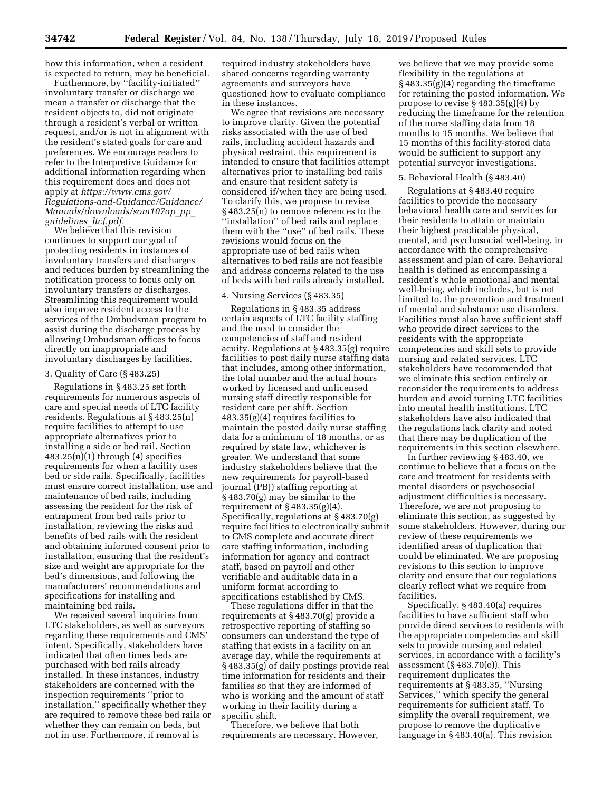how this information, when a resident is expected to return, may be beneficial.

Furthermore, by ''facility-initiated'' involuntary transfer or discharge we mean a transfer or discharge that the resident objects to, did not originate through a resident's verbal or written request, and/or is not in alignment with the resident's stated goals for care and preferences. We encourage readers to refer to the Interpretive Guidance for additional information regarding when this requirement does and does not apply at *[https://www.cms.gov/](https://www.cms.gov/Regulations-and-Guidance/Guidance/Manuals/downloads/som107ap_pp_guidelines_ltcf.pdf) [Regulations-and-Guidance/Guidance/](https://www.cms.gov/Regulations-and-Guidance/Guidance/Manuals/downloads/som107ap_pp_guidelines_ltcf.pdf) [Manuals/downloads/som107ap](https://www.cms.gov/Regulations-and-Guidance/Guidance/Manuals/downloads/som107ap_pp_guidelines_ltcf.pdf)*\_*pp*\_ *[guidelines](https://www.cms.gov/Regulations-and-Guidance/Guidance/Manuals/downloads/som107ap_pp_guidelines_ltcf.pdf)*\_*ltcf.pdf.* 

We believe that this revision continues to support our goal of protecting residents in instances of involuntary transfers and discharges and reduces burden by streamlining the notification process to focus only on involuntary transfers or discharges. Streamlining this requirement would also improve resident access to the services of the Ombudsman program to assist during the discharge process by allowing Ombudsman offices to focus directly on inappropriate and involuntary discharges by facilities.

#### 3. Quality of Care (§ 483.25)

Regulations in § 483.25 set forth requirements for numerous aspects of care and special needs of LTC facility residents. Regulations at § 483.25(n) require facilities to attempt to use appropriate alternatives prior to installing a side or bed rail. Section  $483.25(n)(1)$  through  $(4)$  specifies requirements for when a facility uses bed or side rails. Specifically, facilities must ensure correct installation, use and maintenance of bed rails, including assessing the resident for the risk of entrapment from bed rails prior to installation, reviewing the risks and benefits of bed rails with the resident and obtaining informed consent prior to installation, ensuring that the resident's size and weight are appropriate for the bed's dimensions, and following the manufacturers' recommendations and specifications for installing and maintaining bed rails.

We received several inquiries from LTC stakeholders, as well as surveyors regarding these requirements and CMS' intent. Specifically, stakeholders have indicated that often times beds are purchased with bed rails already installed. In these instances, industry stakeholders are concerned with the inspection requirements ''prior to installation,'' specifically whether they are required to remove these bed rails or whether they can remain on beds, but not in use. Furthermore, if removal is

required industry stakeholders have shared concerns regarding warranty agreements and surveyors have questioned how to evaluate compliance in these instances.

We agree that revisions are necessary to improve clarity. Given the potential risks associated with the use of bed rails, including accident hazards and physical restraint, this requirement is intended to ensure that facilities attempt alternatives prior to installing bed rails and ensure that resident safety is considered if/when they are being used. To clarify this, we propose to revise § 483.25(n) to remove references to the ''installation'' of bed rails and replace them with the ''use'' of bed rails. These revisions would focus on the appropriate use of bed rails when alternatives to bed rails are not feasible and address concerns related to the use of beds with bed rails already installed.

## 4. Nursing Services (§ 483.35)

Regulations in § 483.35 address certain aspects of LTC facility staffing and the need to consider the competencies of staff and resident acuity. Regulations at § 483.35(g) require facilities to post daily nurse staffing data that includes, among other information, the total number and the actual hours worked by licensed and unlicensed nursing staff directly responsible for resident care per shift. Section 483.35(g)(4) requires facilities to maintain the posted daily nurse staffing data for a minimum of 18 months, or as required by state law, whichever is greater. We understand that some industry stakeholders believe that the new requirements for payroll-based journal (PBJ) staffing reporting at § 483.70(g) may be similar to the requirement at  $\S 483.35(g)(4)$ . Specifically, regulations at § 483.70(g) require facilities to electronically submit to CMS complete and accurate direct care staffing information, including information for agency and contract staff, based on payroll and other verifiable and auditable data in a uniform format according to specifications established by CMS.

These regulations differ in that the requirements at § 483.70(g) provide a retrospective reporting of staffing so consumers can understand the type of staffing that exists in a facility on an average day, while the requirements at § 483.35(g) of daily postings provide real time information for residents and their families so that they are informed of who is working and the amount of staff working in their facility during a specific shift.

Therefore, we believe that both requirements are necessary. However,

we believe that we may provide some flexibility in the regulations at § 483.35(g)(4) regarding the timeframe for retaining the posted information. We propose to revise § 483.35(g)(4) by reducing the timeframe for the retention of the nurse staffing data from 18 months to 15 months. We believe that 15 months of this facility-stored data would be sufficient to support any potential surveyor investigations.

#### 5. Behavioral Health (§ 483.40)

Regulations at § 483.40 require facilities to provide the necessary behavioral health care and services for their residents to attain or maintain their highest practicable physical, mental, and psychosocial well-being, in accordance with the comprehensive assessment and plan of care. Behavioral health is defined as encompassing a resident's whole emotional and mental well-being, which includes, but is not limited to, the prevention and treatment of mental and substance use disorders. Facilities must also have sufficient staff who provide direct services to the residents with the appropriate competencies and skill sets to provide nursing and related services. LTC stakeholders have recommended that we eliminate this section entirely or reconsider the requirements to address burden and avoid turning LTC facilities into mental health institutions. LTC stakeholders have also indicated that the regulations lack clarity and noted that there may be duplication of the requirements in this section elsewhere.

In further reviewing § 483.40, we continue to believe that a focus on the care and treatment for residents with mental disorders or psychosocial adjustment difficulties is necessary. Therefore, we are not proposing to eliminate this section, as suggested by some stakeholders. However, during our review of these requirements we identified areas of duplication that could be eliminated. We are proposing revisions to this section to improve clarity and ensure that our regulations clearly reflect what we require from facilities.

Specifically, § 483.40(a) requires facilities to have sufficient staff who provide direct services to residents with the appropriate competencies and skill sets to provide nursing and related services, in accordance with a facility's assessment (§ 483.70(e)). This requirement duplicates the requirements at § 483.35, ''Nursing Services,'' which specify the general requirements for sufficient staff. To simplify the overall requirement, we propose to remove the duplicative language in § 483.40(a). This revision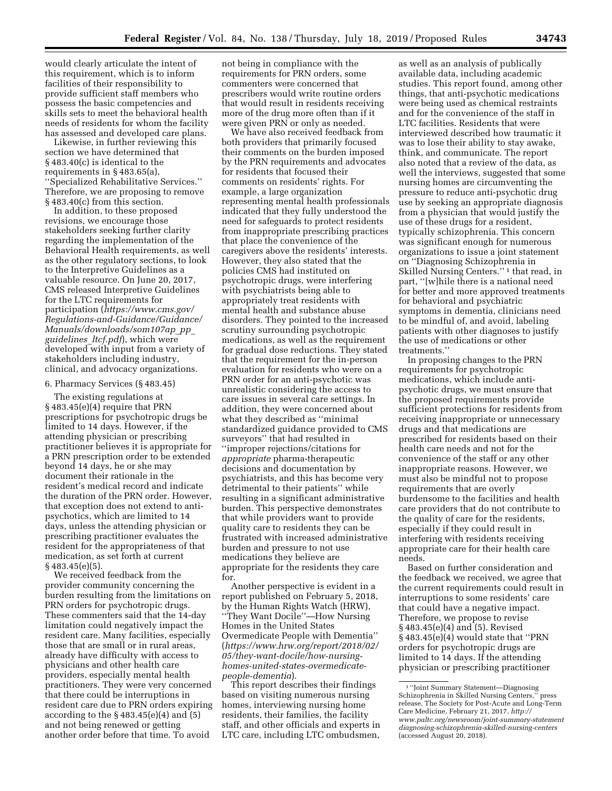would clearly articulate the intent of this requirement, which is to inform facilities of their responsibility to provide sufficient staff members who possess the basic competencies and skills sets to meet the behavioral health needs of residents for whom the facility has assessed and developed care plans.

Likewise, in further reviewing this section we have determined that § 483.40(c) is identical to the requirements in § 483.65(a), ''Specialized Rehabilitative Services.'' Therefore, we are proposing to remove § 483.40(c) from this section.

In addition, to these proposed revisions, we encourage those stakeholders seeking further clarity regarding the implementation of the Behavioral Health requirements, as well as the other regulatory sections, to look to the Interpretive Guidelines as a valuable resource. On June 20, 2017, CMS released Interpretive Guidelines for the LTC requirements for participation (*[https://www.cms.gov/](https://www.cms.gov/Regulations-and-Guidance/Guidance/Manuals/downloads/som107ap_pp_guidelines_ltcf.pdf) [Regulations-and-Guidance/Guidance/](https://www.cms.gov/Regulations-and-Guidance/Guidance/Manuals/downloads/som107ap_pp_guidelines_ltcf.pdf) [Manuals/downloads/som107ap](https://www.cms.gov/Regulations-and-Guidance/Guidance/Manuals/downloads/som107ap_pp_guidelines_ltcf.pdf)*\_*pp*\_ *[guidelines](https://www.cms.gov/Regulations-and-Guidance/Guidance/Manuals/downloads/som107ap_pp_guidelines_ltcf.pdf)*\_*ltcf.pdf*), which were developed with input from a variety of stakeholders including industry, clinical, and advocacy organizations.

#### 6. Pharmacy Services (§ 483.45)

The existing regulations at § 483.45(e)(4) require that PRN prescriptions for psychotropic drugs be limited to 14 days. However, if the attending physician or prescribing practitioner believes it is appropriate for a PRN prescription order to be extended beyond 14 days, he or she may document their rationale in the resident's medical record and indicate the duration of the PRN order. However, that exception does not extend to antipsychotics, which are limited to 14 days, unless the attending physician or prescribing practitioner evaluates the resident for the appropriateness of that medication, as set forth at current § 483.45(e)(5).

We received feedback from the provider community concerning the burden resulting from the limitations on PRN orders for psychotropic drugs. These commenters said that the 14-day limitation could negatively impact the resident care. Many facilities, especially those that are small or in rural areas, already have difficulty with access to physicians and other health care providers, especially mental health practitioners. They were very concerned that there could be interruptions in resident care due to PRN orders expiring according to the § 483.45(e)(4) and (5) and not being renewed or getting another order before that time. To avoid

not being in compliance with the requirements for PRN orders, some commenters were concerned that prescribers would write routine orders that would result in residents receiving more of the drug more often than if it were given PRN or only as needed.

We have also received feedback from both providers that primarily focused their comments on the burden imposed by the PRN requirements and advocates for residents that focused their comments on residents' rights. For example, a large organization representing mental health professionals indicated that they fully understood the need for safeguards to protect residents from inappropriate prescribing practices that place the convenience of the caregivers above the residents' interests. However, they also stated that the policies CMS had instituted on psychotropic drugs, were interfering with psychiatrists being able to appropriately treat residents with mental health and substance abuse disorders. They pointed to the increased scrutiny surrounding psychotropic medications, as well as the requirement for gradual dose reductions. They stated that the requirement for the in-person evaluation for residents who were on a PRN order for an anti-psychotic was unrealistic considering the access to care issues in several care settings. In addition, they were concerned about what they described as ''minimal standardized guidance provided to CMS surveyors'' that had resulted in ''improper rejections/citations for *appropriate* pharma-therapeutic decisions and documentation by psychiatrists, and this has become very detrimental to their patients'' while resulting in a significant administrative burden. This perspective demonstrates that while providers want to provide quality care to residents they can be frustrated with increased administrative burden and pressure to not use medications they believe are appropriate for the residents they care for.

Another perspective is evident in a report published on February 5, 2018, by the Human Rights Watch (HRW), ''They Want Docile''—How Nursing Homes in the United States Overmedicate People with Dementia'' (*[https://www.hrw.org/report/2018/02/](https://www.hrw.org/report/2018/02/05/they-want-docile/how-nursing-homes-united-states-overmedicate-people-dementia)  [05/they-want-docile/how-nursing](https://www.hrw.org/report/2018/02/05/they-want-docile/how-nursing-homes-united-states-overmedicate-people-dementia)[homes-united-states-overmedicate](https://www.hrw.org/report/2018/02/05/they-want-docile/how-nursing-homes-united-states-overmedicate-people-dementia)[people-dementia](https://www.hrw.org/report/2018/02/05/they-want-docile/how-nursing-homes-united-states-overmedicate-people-dementia)*).

This report describes their findings based on visiting numerous nursing homes, interviewing nursing home residents, their families, the facility staff, and other officials and experts in LTC care, including LTC ombudsmen,

as well as an analysis of publically available data, including academic studies. This report found, among other things, that anti-psychotic medications were being used as chemical restraints and for the convenience of the staff in LTC facilities. Residents that were interviewed described how traumatic it was to lose their ability to stay awake, think, and communicate. The report also noted that a review of the data, as well the interviews, suggested that some nursing homes are circumventing the pressure to reduce anti-psychotic drug use by seeking an appropriate diagnosis from a physician that would justify the use of these drugs for a resident, typically schizophrenia. This concern was significant enough for numerous organizations to issue a joint statement on ''Diagnosing Schizophrenia in Skilled Nursing Centers.'' 1 that read, in part, ''[w]hile there is a national need for better and more approved treatments for behavioral and psychiatric symptoms in dementia, clinicians need to be mindful of, and avoid, labeling patients with other diagnoses to justify the use of medications or other treatments.''

In proposing changes to the PRN requirements for psychotropic medications, which include antipsychotic drugs, we must ensure that the proposed requirements provide sufficient protections for residents from receiving inappropriate or unnecessary drugs and that medications are prescribed for residents based on their health care needs and not for the convenience of the staff or any other inappropriate reasons. However, we must also be mindful not to propose requirements that are overly burdensome to the facilities and health care providers that do not contribute to the quality of care for the residents, especially if they could result in interfering with residents receiving appropriate care for their health care needs.

Based on further consideration and the feedback we received, we agree that the current requirements could result in interruptions to some residents' care that could have a negative impact. Therefore, we propose to revise § 483.45(e)(4) and (5). Revised § 483.45(e)(4) would state that ''PRN orders for psychotropic drugs are limited to 14 days. If the attending physician or prescribing practitioner

<sup>1</sup> ''Joint Summary Statement—Diagnosing Schizophrenia in Skilled Nursing Centers,'' press release, The Society for Post-Acute and Long-Term Care Medicine, February 21, 2017, *[http://](http://www.paltc.org/newsroom/joint-summary-statementdiagnosing-schizophrenia-skilled-nursing-centers) [www.paltc.org/newsroom/joint-summary-statement](http://www.paltc.org/newsroom/joint-summary-statementdiagnosing-schizophrenia-skilled-nursing-centers) [diagnosing-schizophrenia-skilled-nursing-centers](http://www.paltc.org/newsroom/joint-summary-statementdiagnosing-schizophrenia-skilled-nursing-centers)*  (accessed August 20, 2018).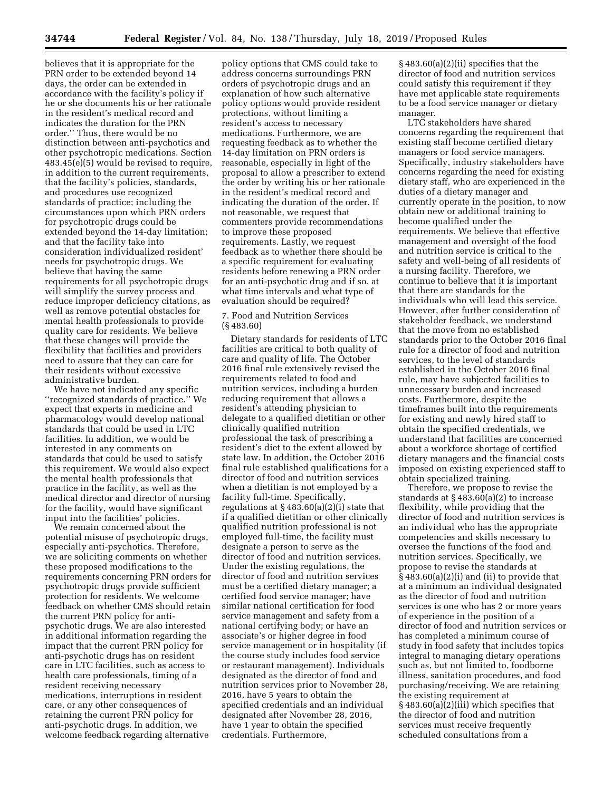believes that it is appropriate for the PRN order to be extended beyond 14 days, the order can be extended in accordance with the facility's policy if he or she documents his or her rationale in the resident's medical record and indicates the duration for the PRN order.'' Thus, there would be no distinction between anti-psychotics and other psychotropic medications. Section 483.45(e)(5) would be revised to require, in addition to the current requirements, that the facility's policies, standards, and procedures use recognized standards of practice; including the circumstances upon which PRN orders for psychotropic drugs could be extended beyond the 14-day limitation; and that the facility take into consideration individualized resident' needs for psychotropic drugs. We believe that having the same requirements for all psychotropic drugs will simplify the survey process and reduce improper deficiency citations, as well as remove potential obstacles for mental health professionals to provide quality care for residents. We believe that these changes will provide the flexibility that facilities and providers need to assure that they can care for their residents without excessive administrative burden.

We have not indicated any specific ''recognized standards of practice.'' We expect that experts in medicine and pharmacology would develop national standards that could be used in LTC facilities. In addition, we would be interested in any comments on standards that could be used to satisfy this requirement. We would also expect the mental health professionals that practice in the facility, as well as the medical director and director of nursing for the facility, would have significant input into the facilities' policies.

We remain concerned about the potential misuse of psychotropic drugs, especially anti-psychotics. Therefore, we are soliciting comments on whether these proposed modifications to the requirements concerning PRN orders for psychotropic drugs provide sufficient protection for residents. We welcome feedback on whether CMS should retain the current PRN policy for antipsychotic drugs. We are also interested in additional information regarding the impact that the current PRN policy for anti-psychotic drugs has on resident care in LTC facilities, such as access to health care professionals, timing of a resident receiving necessary medications, interruptions in resident care, or any other consequences of retaining the current PRN policy for anti-psychotic drugs. In addition, we welcome feedback regarding alternative

policy options that CMS could take to address concerns surroundings PRN orders of psychotropic drugs and an explanation of how such alternative policy options would provide resident protections, without limiting a resident's access to necessary medications. Furthermore, we are requesting feedback as to whether the 14-day limitation on PRN orders is reasonable, especially in light of the proposal to allow a prescriber to extend the order by writing his or her rationale in the resident's medical record and indicating the duration of the order. If not reasonable, we request that commenters provide recommendations to improve these proposed requirements. Lastly, we request feedback as to whether there should be a specific requirement for evaluating residents before renewing a PRN order for an anti-psychotic drug and if so, at what time intervals and what type of evaluation should be required?

7. Food and Nutrition Services (§ 483.60)

Dietary standards for residents of LTC facilities are critical to both quality of care and quality of life. The October 2016 final rule extensively revised the requirements related to food and nutrition services, including a burden reducing requirement that allows a resident's attending physician to delegate to a qualified dietitian or other clinically qualified nutrition professional the task of prescribing a resident's diet to the extent allowed by state law. In addition, the October 2016 final rule established qualifications for a director of food and nutrition services when a dietitian is not employed by a facility full-time. Specifically, regulations at § 483.60(a)(2)(i) state that if a qualified dietitian or other clinically qualified nutrition professional is not employed full-time, the facility must designate a person to serve as the director of food and nutrition services. Under the existing regulations, the director of food and nutrition services must be a certified dietary manager; a certified food service manager; have similar national certification for food service management and safety from a national certifying body; or have an associate's or higher degree in food service management or in hospitality (if the course study includes food service or restaurant management). Individuals designated as the director of food and nutrition services prior to November 28, 2016, have 5 years to obtain the specified credentials and an individual designated after November 28, 2016, have 1 year to obtain the specified credentials. Furthermore,

§ 483.60(a)(2)(ii) specifies that the director of food and nutrition services could satisfy this requirement if they have met applicable state requirements to be a food service manager or dietary manager.

LTC stakeholders have shared concerns regarding the requirement that existing staff become certified dietary managers or food service managers. Specifically, industry stakeholders have concerns regarding the need for existing dietary staff, who are experienced in the duties of a dietary manager and currently operate in the position, to now obtain new or additional training to become qualified under the requirements. We believe that effective management and oversight of the food and nutrition service is critical to the safety and well-being of all residents of a nursing facility. Therefore, we continue to believe that it is important that there are standards for the individuals who will lead this service. However, after further consideration of stakeholder feedback, we understand that the move from no established standards prior to the October 2016 final rule for a director of food and nutrition services, to the level of standards established in the October 2016 final rule, may have subjected facilities to unnecessary burden and increased costs. Furthermore, despite the timeframes built into the requirements for existing and newly hired staff to obtain the specified credentials, we understand that facilities are concerned about a workforce shortage of certified dietary managers and the financial costs imposed on existing experienced staff to obtain specialized training.

Therefore, we propose to revise the standards at § 483.60(a)(2) to increase flexibility, while providing that the director of food and nutrition services is an individual who has the appropriate competencies and skills necessary to oversee the functions of the food and nutrition services. Specifically, we propose to revise the standards at § 483.60(a)(2)(i) and (ii) to provide that at a minimum an individual designated as the director of food and nutrition services is one who has 2 or more years of experience in the position of a director of food and nutrition services or has completed a minimum course of study in food safety that includes topics integral to managing dietary operations such as, but not limited to, foodborne illness, sanitation procedures, and food purchasing/receiving. We are retaining the existing requirement at § 483.60(a)(2)(iii) which specifies that the director of food and nutrition services must receive frequently scheduled consultations from a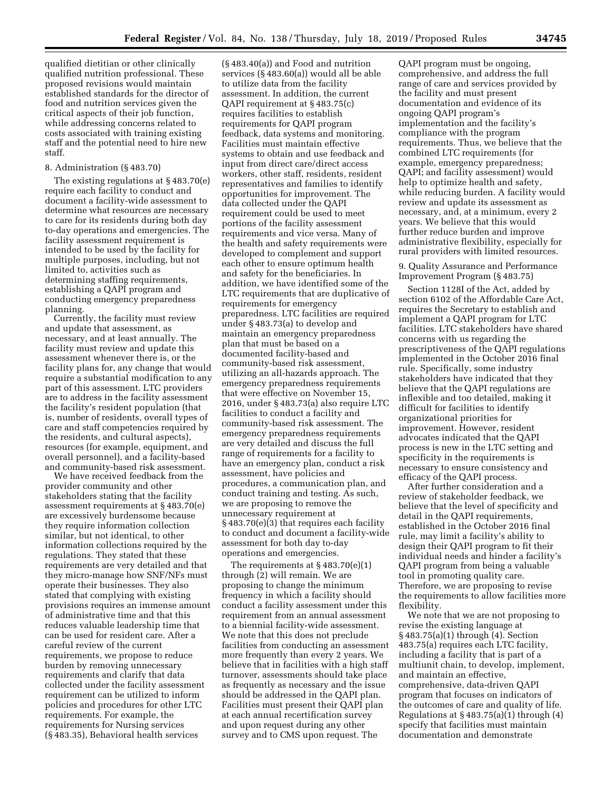qualified dietitian or other clinically qualified nutrition professional. These proposed revisions would maintain established standards for the director of food and nutrition services given the critical aspects of their job function, while addressing concerns related to costs associated with training existing staff and the potential need to hire new staff.

#### 8. Administration (§ 483.70)

The existing regulations at § 483.70(e) require each facility to conduct and document a facility-wide assessment to determine what resources are necessary to care for its residents during both day to-day operations and emergencies. The facility assessment requirement is intended to be used by the facility for multiple purposes, including, but not limited to, activities such as determining staffing requirements, establishing a QAPI program and conducting emergency preparedness planning.

Currently, the facility must review and update that assessment, as necessary, and at least annually. The facility must review and update this assessment whenever there is, or the facility plans for, any change that would require a substantial modification to any part of this assessment. LTC providers are to address in the facility assessment the facility's resident population (that is, number of residents, overall types of care and staff competencies required by the residents, and cultural aspects), resources (for example, equipment, and overall personnel), and a facility-based and community-based risk assessment.

We have received feedback from the provider community and other stakeholders stating that the facility assessment requirements at § 483.70(e) are excessively burdensome because they require information collection similar, but not identical, to other information collections required by the regulations. They stated that these requirements are very detailed and that they micro-manage how SNF/NFs must operate their businesses. They also stated that complying with existing provisions requires an immense amount of administrative time and that this reduces valuable leadership time that can be used for resident care. After a careful review of the current requirements, we propose to reduce burden by removing unnecessary requirements and clarify that data collected under the facility assessment requirement can be utilized to inform policies and procedures for other LTC requirements. For example, the requirements for Nursing services (§ 483.35), Behavioral health services

(§ 483.40(a)) and Food and nutrition services (§ 483.60(a)) would all be able to utilize data from the facility assessment. In addition, the current QAPI requirement at § 483.75(c) requires facilities to establish requirements for QAPI program feedback, data systems and monitoring. Facilities must maintain effective systems to obtain and use feedback and input from direct care/direct access workers, other staff, residents, resident representatives and families to identify opportunities for improvement. The data collected under the QAPI requirement could be used to meet portions of the facility assessment requirements and vice versa. Many of the health and safety requirements were developed to complement and support each other to ensure optimum health and safety for the beneficiaries. In addition, we have identified some of the LTC requirements that are duplicative of requirements for emergency preparedness. LTC facilities are required under § 483.73(a) to develop and maintain an emergency preparedness plan that must be based on a documented facility-based and community-based risk assessment, utilizing an all-hazards approach. The emergency preparedness requirements that were effective on November 15, 2016, under § 483.73(a) also require LTC facilities to conduct a facility and community-based risk assessment. The emergency preparedness requirements are very detailed and discuss the full range of requirements for a facility to have an emergency plan, conduct a risk assessment, have policies and procedures, a communication plan, and conduct training and testing. As such, we are proposing to remove the unnecessary requirement at § 483.70(e)(3) that requires each facility to conduct and document a facility-wide assessment for both day to-day operations and emergencies.

The requirements at § 483.70(e)(1) through (2) will remain. We are proposing to change the minimum frequency in which a facility should conduct a facility assessment under this requirement from an annual assessment to a biennial facility-wide assessment. We note that this does not preclude facilities from conducting an assessment more frequently than every 2 years. We believe that in facilities with a high staff turnover, assessments should take place as frequently as necessary and the issue should be addressed in the QAPI plan. Facilities must present their QAPI plan at each annual recertification survey and upon request during any other survey and to CMS upon request. The

QAPI program must be ongoing, comprehensive, and address the full range of care and services provided by the facility and must present documentation and evidence of its ongoing QAPI program's implementation and the facility's compliance with the program requirements. Thus, we believe that the combined LTC requirements (for example, emergency preparedness; QAPI; and facility assessment) would help to optimize health and safety, while reducing burden. A facility would review and update its assessment as necessary, and, at a minimum, every 2 years. We believe that this would further reduce burden and improve administrative flexibility, especially for rural providers with limited resources.

9. Quality Assurance and Performance Improvement Program (§ 483.75)

Section 1128I of the Act, added by section 6102 of the Affordable Care Act, requires the Secretary to establish and implement a QAPI program for LTC facilities. LTC stakeholders have shared concerns with us regarding the prescriptiveness of the QAPI regulations implemented in the October 2016 final rule. Specifically, some industry stakeholders have indicated that they believe that the QAPI regulations are inflexible and too detailed, making it difficult for facilities to identify organizational priorities for improvement. However, resident advocates indicated that the QAPI process is new in the LTC setting and specificity in the requirements is necessary to ensure consistency and efficacy of the QAPI process.

After further consideration and a review of stakeholder feedback, we believe that the level of specificity and detail in the QAPI requirements, established in the October 2016 final rule, may limit a facility's ability to design their QAPI program to fit their individual needs and hinder a facility's QAPI program from being a valuable tool in promoting quality care. Therefore, we are proposing to revise the requirements to allow facilities more flexibility.

We note that we are not proposing to revise the existing language at § 483.75(a)(1) through (4). Section 483.75(a) requires each LTC facility, including a facility that is part of a multiunit chain, to develop, implement, and maintain an effective, comprehensive, data-driven QAPI program that focuses on indicators of the outcomes of care and quality of life. Regulations at  $\S$  483.75(a)(1) through (4) specify that facilities must maintain documentation and demonstrate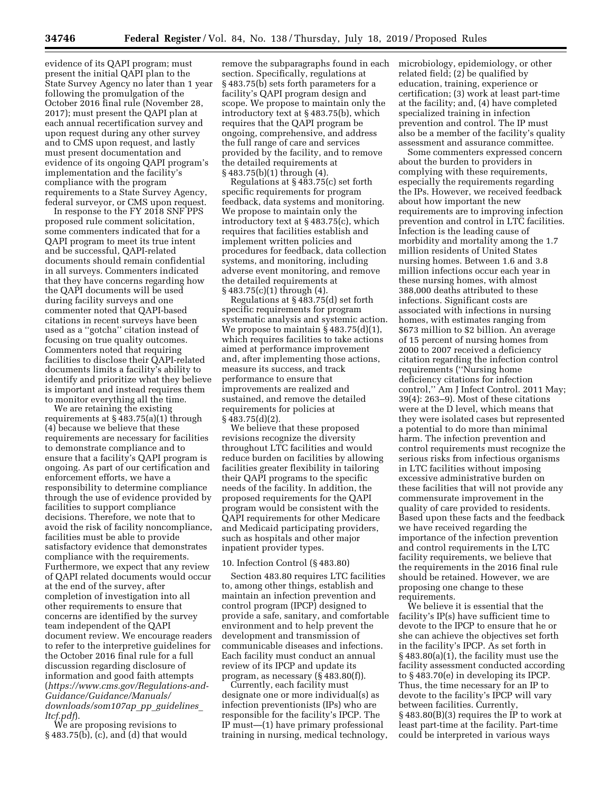evidence of its QAPI program; must present the initial QAPI plan to the State Survey Agency no later than 1 year following the promulgation of the October 2016 final rule (November 28, 2017); must present the QAPI plan at each annual recertification survey and upon request during any other survey and to CMS upon request, and lastly must present documentation and evidence of its ongoing QAPI program's implementation and the facility's compliance with the program requirements to a State Survey Agency, federal surveyor, or CMS upon request.

In response to the FY 2018 SNF PPS proposed rule comment solicitation, some commenters indicated that for a QAPI program to meet its true intent and be successful, QAPI-related documents should remain confidential in all surveys. Commenters indicated that they have concerns regarding how the QAPI documents will be used during facility surveys and one commenter noted that QAPI-based citations in recent surveys have been used as a ''gotcha'' citation instead of focusing on true quality outcomes. Commenters noted that requiring facilities to disclose their QAPI-related documents limits a facility's ability to identify and prioritize what they believe is important and instead requires them to monitor everything all the time.

We are retaining the existing requirements at § 483.75(a)(1) through (4) because we believe that these requirements are necessary for facilities to demonstrate compliance and to ensure that a facility's QAPI program is ongoing. As part of our certification and enforcement efforts, we have a responsibility to determine compliance through the use of evidence provided by facilities to support compliance decisions. Therefore, we note that to avoid the risk of facility noncompliance, facilities must be able to provide satisfactory evidence that demonstrates compliance with the requirements. Furthermore, we expect that any review of QAPI related documents would occur at the end of the survey, after completion of investigation into all other requirements to ensure that concerns are identified by the survey team independent of the QAPI document review. We encourage readers to refer to the interpretive guidelines for the October 2016 final rule for a full discussion regarding disclosure of information and good faith attempts (*[https://www.cms.gov/Regulations-and-](https://www.cms.gov/Regulations-and-Guidance/Guidance/Manuals/downloads/som107ap_pp_guidelines_ltcf.pdf)[Guidance/Guidance/Manuals/](https://www.cms.gov/Regulations-and-Guidance/Guidance/Manuals/downloads/som107ap_pp_guidelines_ltcf.pdf) [downloads/som107ap](https://www.cms.gov/Regulations-and-Guidance/Guidance/Manuals/downloads/som107ap_pp_guidelines_ltcf.pdf)*\_*pp*\_*guidelines*\_ *[ltcf.pdf](https://www.cms.gov/Regulations-and-Guidance/Guidance/Manuals/downloads/som107ap_pp_guidelines_ltcf.pdf)*).

We are proposing revisions to § 483.75(b), (c), and (d) that would remove the subparagraphs found in each section. Specifically, regulations at § 483.75(b) sets forth parameters for a facility's QAPI program design and scope. We propose to maintain only the introductory text at § 483.75(b), which requires that the QAPI program be ongoing, comprehensive, and address the full range of care and services provided by the facility, and to remove the detailed requirements at § 483.75(b)(1) through (4).

Regulations at  $\S$  483.75(c) set forth specific requirements for program feedback, data systems and monitoring. We propose to maintain only the introductory text at § 483.75(c), which requires that facilities establish and implement written policies and procedures for feedback, data collection systems, and monitoring, including adverse event monitoring, and remove the detailed requirements at § 483.75(c)(1) through (4).

Regulations at § 483.75(d) set forth specific requirements for program systematic analysis and systemic action. We propose to maintain  $\S 483.75(d)(1)$ , which requires facilities to take actions aimed at performance improvement and, after implementing those actions, measure its success, and track performance to ensure that improvements are realized and sustained, and remove the detailed requirements for policies at § 483.75(d)(2).

We believe that these proposed revisions recognize the diversity throughout LTC facilities and would reduce burden on facilities by allowing facilities greater flexibility in tailoring their QAPI programs to the specific needs of the facility. In addition, the proposed requirements for the QAPI program would be consistent with the QAPI requirements for other Medicare and Medicaid participating providers, such as hospitals and other major inpatient provider types.

#### 10. Infection Control (§ 483.80)

Section 483.80 requires LTC facilities to, among other things, establish and maintain an infection prevention and control program (IPCP) designed to provide a safe, sanitary, and comfortable environment and to help prevent the development and transmission of communicable diseases and infections. Each facility must conduct an annual review of its IPCP and update its program, as necessary (§ 483.80(f)).

Currently, each facility must designate one or more individual(s) as infection preventionists (IPs) who are responsible for the facility's IPCP. The IP must—(1) have primary professional training in nursing, medical technology, microbiology, epidemiology, or other related field; (2) be qualified by education, training, experience or certification; (3) work at least part-time at the facility; and, (4) have completed specialized training in infection prevention and control. The IP must also be a member of the facility's quality assessment and assurance committee.

Some commenters expressed concern about the burden to providers in complying with these requirements, especially the requirements regarding the IPs. However, we received feedback about how important the new requirements are to improving infection prevention and control in LTC facilities. Infection is the leading cause of morbidity and mortality among the 1.7 million residents of United States nursing homes. Between 1.6 and 3.8 million infections occur each year in these nursing homes, with almost 388,000 deaths attributed to these infections. Significant costs are associated with infections in nursing homes, with estimates ranging from \$673 million to \$2 billion. An average of 15 percent of nursing homes from 2000 to 2007 received a deficiency citation regarding the infection control requirements (''Nursing home deficiency citations for infection control,'' Am J Infect Control. 2011 May; 39(4): 263–9). Most of these citations were at the D level, which means that they were isolated cases but represented a potential to do more than minimal harm. The infection prevention and control requirements must recognize the serious risks from infectious organisms in LTC facilities without imposing excessive administrative burden on these facilities that will not provide any commensurate improvement in the quality of care provided to residents. Based upon these facts and the feedback we have received regarding the importance of the infection prevention and control requirements in the LTC facility requirements, we believe that the requirements in the 2016 final rule should be retained. However, we are proposing one change to these requirements.

We believe it is essential that the facility's IP(s) have sufficient time to devote to the IPCP to ensure that he or she can achieve the objectives set forth in the facility's IPCP. As set forth in § 483.80(a)(1), the facility must use the facility assessment conducted according to § 483.70(e) in developing its IPCP. Thus, the time necessary for an IP to devote to the facility's IPCP will vary between facilities. Currently, § 483.80(B)(3) requires the IP to work at least part-time at the facility. Part-time could be interpreted in various ways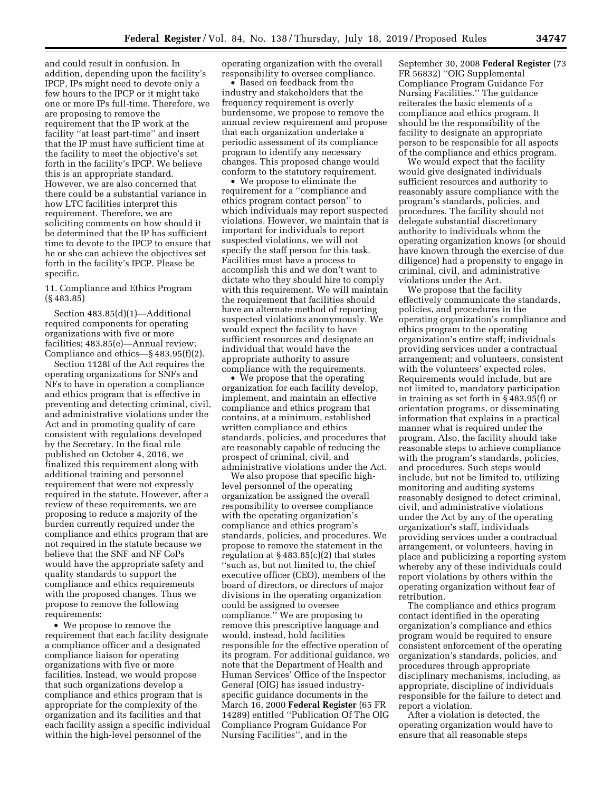and could result in confusion. In addition, depending upon the facility's IPCP, IPs might need to devote only a few hours to the IPCP or it might take one or more IPs full-time. Therefore, we are proposing to remove the requirement that the IP work at the facility ''at least part-time'' and insert that the IP must have sufficient time at the facility to meet the objective's set forth in the facility's IPCP. We believe this is an appropriate standard. However, we are also concerned that there could be a substantial variance in how LTC facilities interpret this requirement. Therefore, we are soliciting comments on how should it be determined that the IP has sufficient time to devote to the IPCP to ensure that he or she can achieve the objectives set forth in the facility's IPCP. Please be specific.

11. Compliance and Ethics Program (§ 483.85)

Section 483.85(d)(1)—Additional required components for operating organizations with five or more facilities; 483.85(e)—Annual review; Compliance and ethics—§ 483.95(f)(2).

Section 1128I of the Act requires the operating organizations for SNFs and NFs to have in operation a compliance and ethics program that is effective in preventing and detecting criminal, civil, and administrative violations under the Act and in promoting quality of care consistent with regulations developed by the Secretary. In the final rule published on October 4, 2016, we finalized this requirement along with additional training and personnel requirement that were not expressly required in the statute. However, after a review of these requirements, we are proposing to reduce a majority of the burden currently required under the compliance and ethics program that are not required in the statute because we believe that the SNF and NF CoPs would have the appropriate safety and quality standards to support the compliance and ethics requirements with the proposed changes. Thus we propose to remove the following requirements:

• We propose to remove the requirement that each facility designate a compliance officer and a designated compliance liaison for operating organizations with five or more facilities. Instead, we would propose that such organizations develop a compliance and ethics program that is appropriate for the complexity of the organization and its facilities and that each facility assign a specific individual within the high-level personnel of the

operating organization with the overall responsibility to oversee compliance.

• Based on feedback from the industry and stakeholders that the frequency requirement is overly burdensome, we propose to remove the annual review requirement and propose that each organization undertake a periodic assessment of its compliance program to identify any necessary changes. This proposed change would conform to the statutory requirement.

• We propose to eliminate the requirement for a ''compliance and ethics program contact person'' to which individuals may report suspected violations. However, we maintain that is important for individuals to report suspected violations, we will not specify the staff person for this task. Facilities must have a process to accomplish this and we don't want to dictate who they should hire to comply with this requirement. We will maintain the requirement that facilities should have an alternate method of reporting suspected violations anonymously. We would expect the facility to have sufficient resources and designate an individual that would have the appropriate authority to assure compliance with the requirements.

• We propose that the operating organization for each facility develop, implement, and maintain an effective compliance and ethics program that contains, at a minimum, established written compliance and ethics standards, policies, and procedures that are reasonably capable of reducing the prospect of criminal, civil, and administrative violations under the Act.

We also propose that specific highlevel personnel of the operating organization be assigned the overall responsibility to oversee compliance with the operating organization's compliance and ethics program's standards, policies, and procedures. We propose to remove the statement in the regulation at § 483.85(c)(2) that states ''such as, but not limited to, the chief executive officer (CEO), members of the board of directors, or directors of major divisions in the operating organization could be assigned to oversee compliance.'' We are proposing to remove this prescriptive language and would, instead, hold facilities responsible for the effective operation of its program. For additional guidance, we note that the Department of Health and Human Services' Office of the Inspector General (OIG) has issued industryspecific guidance documents in the March 16, 2000 **Federal Register** (65 FR 14289) entitled ''Publication Of The OIG Compliance Program Guidance For Nursing Facilities'', and in the

September 30, 2008 **Federal Register** (73 FR 56832) ''OIG Supplemental Compliance Program Guidance For Nursing Facilities.'' The guidance reiterates the basic elements of a compliance and ethics program. It should be the responsibility of the facility to designate an appropriate person to be responsible for all aspects of the compliance and ethics program.

We would expect that the facility would give designated individuals sufficient resources and authority to reasonably assure compliance with the program's standards, policies, and procedures. The facility should not delegate substantial discretionary authority to individuals whom the operating organization knows (or should have known through the exercise of due diligence) had a propensity to engage in criminal, civil, and administrative violations under the Act.

We propose that the facility effectively communicate the standards, policies, and procedures in the operating organization's compliance and ethics program to the operating organization's entire staff; individuals providing services under a contractual arrangement; and volunteers, consistent with the volunteers' expected roles. Requirements would include, but are not limited to, mandatory participation in training as set forth in § 483.95(f) or orientation programs, or disseminating information that explains in a practical manner what is required under the program. Also, the facility should take reasonable steps to achieve compliance with the program's standards, policies, and procedures. Such steps would include, but not be limited to, utilizing monitoring and auditing systems reasonably designed to detect criminal, civil, and administrative violations under the Act by any of the operating organization's staff, individuals providing services under a contractual arrangement, or volunteers, having in place and publicizing a reporting system whereby any of these individuals could report violations by others within the operating organization without fear of retribution.

The compliance and ethics program contact identified in the operating organization's compliance and ethics program would be required to ensure consistent enforcement of the operating organization's standards, policies, and procedures through appropriate disciplinary mechanisms, including, as appropriate, discipline of individuals responsible for the failure to detect and report a violation.

After a violation is detected, the operating organization would have to ensure that all reasonable steps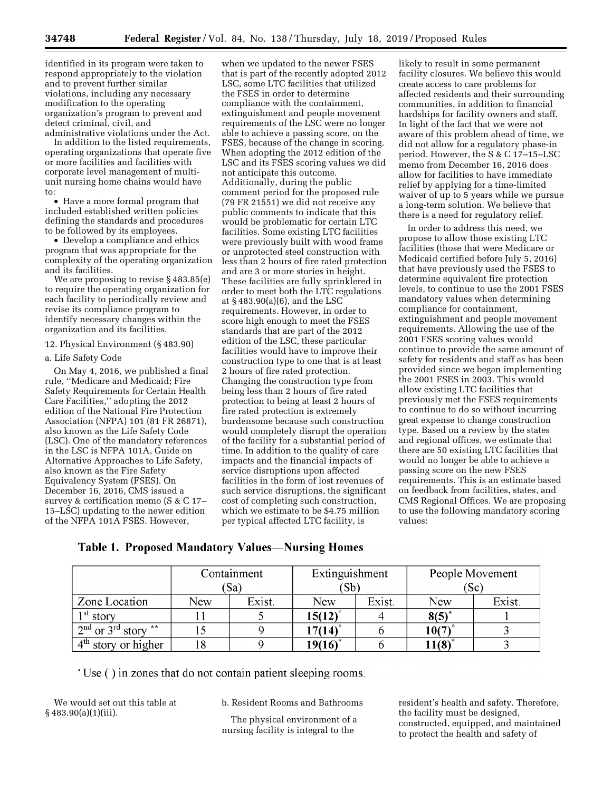identified in its program were taken to respond appropriately to the violation and to prevent further similar violations, including any necessary modification to the operating organization's program to prevent and detect criminal, civil, and

administrative violations under the Act. In addition to the listed requirements, operating organizations that operate five or more facilities and facilities with corporate level management of multiunit nursing home chains would have to:

• Have a more formal program that included established written policies defining the standards and procedures to be followed by its employees.

• Develop a compliance and ethics program that was appropriate for the complexity of the operating organization and its facilities.

We are proposing to revise § 483.85(e) to require the operating organization for each facility to periodically review and revise its compliance program to identify necessary changes within the organization and its facilities.

12. Physical Environment (§ 483.90)

#### a. Life Safety Code

On May 4, 2016, we published a final rule, ''Medicare and Medicaid; Fire Safety Requirements for Certain Health Care Facilities,'' adopting the 2012 edition of the National Fire Protection Association (NFPA) 101 (81 FR 26871), also known as the Life Safety Code (LSC). One of the mandatory references in the LSC is NFPA 101A, Guide on Alternative Approaches to Life Safety, also known as the Fire Safety Equivalency System (FSES). On December 16, 2016, CMS issued a survey & certification memo (S & C 17– 15–LSC) updating to the newer edition of the NFPA 101A FSES. However,

when we updated to the newer FSES that is part of the recently adopted 2012 LSC, some LTC facilities that utilized the FSES in order to determine compliance with the containment, extinguishment and people movement requirements of the LSC were no longer able to achieve a passing score, on the FSES, because of the change in scoring. When adopting the 2012 edition of the LSC and its FSES scoring values we did not anticipate this outcome. Additionally, during the public comment period for the proposed rule (79 FR 21551) we did not receive any public comments to indicate that this would be problematic for certain LTC facilities. Some existing LTC facilities were previously built with wood frame or unprotected steel construction with less than 2 hours of fire rated protection and are 3 or more stories in height. These facilities are fully sprinklered in order to meet both the LTC regulations at § 483.90(a)(6), and the LSC requirements. However, in order to score high enough to meet the FSES standards that are part of the 2012 edition of the LSC, these particular facilities would have to improve their construction type to one that is at least 2 hours of fire rated protection. Changing the construction type from being less than 2 hours of fire rated protection to being at least 2 hours of fire rated protection is extremely burdensome because such construction would completely disrupt the operation of the facility for a substantial period of time. In addition to the quality of care impacts and the financial impacts of service disruptions upon affected facilities in the form of lost revenues of such service disruptions, the significant cost of completing such construction, which we estimate to be \$4.75 million per typical affected LTC facility, is

likely to result in some permanent facility closures. We believe this would create access to care problems for affected residents and their surrounding communities, in addition to financial hardships for facility owners and staff. In light of the fact that we were not aware of this problem ahead of time, we did not allow for a regulatory phase-in period. However, the S & C 17–15–LSC memo from December 16, 2016 does allow for facilities to have immediate relief by applying for a time-limited waiver of up to 5 years while we pursue a long-term solution. We believe that there is a need for regulatory relief.

In order to address this need, we propose to allow those existing LTC facilities (those that were Medicare or Medicaid certified before July 5, 2016) that have previously used the FSES to determine equivalent fire protection levels, to continue to use the 2001 FSES mandatory values when determining compliance for containment, extinguishment and people movement requirements. Allowing the use of the 2001 FSES scoring values would continue to provide the same amount of safety for residents and staff as has been provided since we began implementing the 2001 FSES in 2003. This would allow existing LTC facilities that previously met the FSES requirements to continue to do so without incurring great expense to change construction type. Based on a review by the states and regional offices, we estimate that there are 50 existing LTC facilities that would no longer be able to achieve a passing score on the new FSES requirements. This is an estimate based on feedback from facilities, states, and CMS Regional Offices. We are proposing to use the following mandatory scoring values:

# **Table 1. Proposed Mandatory Values—Nursing Homes**

|                         | Containment |        | Extinguishment |        | People Movement |        |
|-------------------------|-------------|--------|----------------|--------|-----------------|--------|
|                         |             | 'Sa)   | (Sb)           |        | $(S_{\rm C})$   |        |
| Zone Location           | New         | Exist. | New            | Exist. | New             | Exist. |
| $1st$ story             |             |        | $15(12)^{*}$   |        | $8(5)^{*}$      |        |
| $2nd$ or $3rd$ story ** |             |        | $17(14)^*$     |        | 10(7)           |        |
| $4th$ story or higher   |             |        | $19(16)^*$     |        | $11(8)^{3}$     |        |

\* Use () in zones that do not contain patient sleeping rooms.

We would set out this table at § 483.90(a)(1)(iii).

b. Resident Rooms and Bathrooms

The physical environment of a nursing facility is integral to the

resident's health and safety. Therefore, the facility must be designed, constructed, equipped, and maintained to protect the health and safety of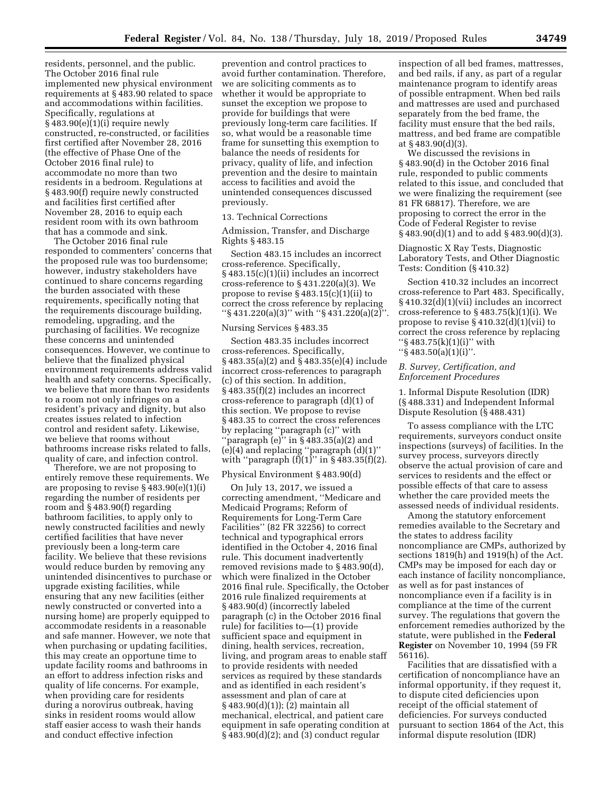residents, personnel, and the public. The October 2016 final rule implemented new physical environment requirements at § 483.90 related to space and accommodations within facilities. Specifically, regulations at  $§$  483.90 $(e)(1)(i)$  require newly constructed, re-constructed, or facilities first certified after November 28, 2016 (the effective of Phase One of the October 2016 final rule) to accommodate no more than two residents in a bedroom. Regulations at § 483.90(f) require newly constructed and facilities first certified after November 28, 2016 to equip each resident room with its own bathroom that has a commode and sink.

The October 2016 final rule responded to commenters' concerns that the proposed rule was too burdensome; however, industry stakeholders have continued to share concerns regarding the burden associated with these requirements, specifically noting that the requirements discourage building, remodeling, upgrading, and the purchasing of facilities. We recognize these concerns and unintended consequences. However, we continue to believe that the finalized physical environment requirements address valid health and safety concerns. Specifically, we believe that more than two residents to a room not only infringes on a resident's privacy and dignity, but also creates issues related to infection control and resident safety. Likewise, we believe that rooms without bathrooms increase risks related to falls, quality of care, and infection control.

Therefore, we are not proposing to entirely remove these requirements. We are proposing to revise § 483.90(e)(1)(i) regarding the number of residents per room and § 483.90(f) regarding bathroom facilities, to apply only to newly constructed facilities and newly certified facilities that have never previously been a long-term care facility. We believe that these revisions would reduce burden by removing any unintended disincentives to purchase or upgrade existing facilities, while ensuring that any new facilities (either newly constructed or converted into a nursing home) are properly equipped to accommodate residents in a reasonable and safe manner. However, we note that when purchasing or updating facilities, this may create an opportune time to update facility rooms and bathrooms in an effort to address infection risks and quality of life concerns. For example, when providing care for residents during a norovirus outbreak, having sinks in resident rooms would allow staff easier access to wash their hands and conduct effective infection

prevention and control practices to avoid further contamination. Therefore, we are soliciting comments as to whether it would be appropriate to sunset the exception we propose to provide for buildings that were previously long-term care facilities. If so, what would be a reasonable time frame for sunsetting this exemption to balance the needs of residents for privacy, quality of life, and infection prevention and the desire to maintain access to facilities and avoid the unintended consequences discussed previously.

#### 13. Technical Corrections

Admission, Transfer, and Discharge Rights § 483.15

Section 483.15 includes an incorrect cross-reference. Specifically, § 483.15(c)(1)(ii) includes an incorrect cross-reference to § 431.220(a)(3). We propose to revise  $\S 483.15(c)(1)(ii)$  to correct the cross reference by replacing ''§ 431.220(a)(3)'' with ''§ 431.220(a)(2)''.

#### Nursing Services § 483.35

Section 483.35 includes incorrect cross-references. Specifically, § 483.35(a)(2) and § 483.35(e)(4) include incorrect cross-references to paragraph (c) of this section. In addition, § 483.35(f)(2) includes an incorrect cross-reference to paragraph (d)(1) of this section. We propose to revise § 483.35 to correct the cross references by replacing ''paragraph (c)'' with "paragraph  $(e)$ " in § 483.35(a)(2) and (e)(4) and replacing ''paragraph (d)(1)'' with "paragraph  $(f)(1)$ " in § 483.35 $(f)(2)$ .

#### Physical Environment § 483.90(d)

On July 13, 2017, we issued a correcting amendment, ''Medicare and Medicaid Programs; Reform of Requirements for Long-Term Care Facilities'' (82 FR 32256) to correct technical and typographical errors identified in the October 4, 2016 final rule. This document inadvertently removed revisions made to § 483.90(d), which were finalized in the October 2016 final rule. Specifically, the October 2016 rule finalized requirements at § 483.90(d) (incorrectly labeled paragraph (c) in the October 2016 final rule) for facilities to—(1) provide sufficient space and equipment in dining, health services, recreation, living, and program areas to enable staff to provide residents with needed services as required by these standards and as identified in each resident's assessment and plan of care at § 483.90(d)(1)); (2) maintain all mechanical, electrical, and patient care equipment in safe operating condition at § 483.90(d)(2); and (3) conduct regular

inspection of all bed frames, mattresses, and bed rails, if any, as part of a regular maintenance program to identify areas of possible entrapment. When bed rails and mattresses are used and purchased separately from the bed frame, the facility must ensure that the bed rails, mattress, and bed frame are compatible at § 483.90(d)(3).

We discussed the revisions in § 483.90(d) in the October 2016 final rule, responded to public comments related to this issue, and concluded that we were finalizing the requirement (see 81 FR 68817). Therefore, we are proposing to correct the error in the Code of Federal Register to revise § 483.90(d)(1) and to add § 483.90(d)(3).

Diagnostic X Ray Tests, Diagnostic Laboratory Tests, and Other Diagnostic Tests: Condition (§ 410.32)

Section 410.32 includes an incorrect cross-reference to Part 483. Specifically, § 410.32(d)(1)(vii) includes an incorrect cross-reference to  $\S 483.75(k)(1)(i)$ . We propose to revise § 410.32(d)(1)(vii) to correct the cross reference by replacing ''§ 483.75(k)(1)(i)'' with ''§ 483.50(a)(1)(i)''.

# *B. Survey, Certification, and Enforcement Procedures*

1. Informal Dispute Resolution (IDR) (§ 488.331) and Independent Informal Dispute Resolution (§ 488.431)

To assess compliance with the LTC requirements, surveyors conduct onsite inspections (surveys) of facilities. In the survey process, surveyors directly observe the actual provision of care and services to residents and the effect or possible effects of that care to assess whether the care provided meets the assessed needs of individual residents.

Among the statutory enforcement remedies available to the Secretary and the states to address facility noncompliance are CMPs, authorized by sections 1819(h) and 1919(h) of the Act. CMPs may be imposed for each day or each instance of facility noncompliance, as well as for past instances of noncompliance even if a facility is in compliance at the time of the current survey. The regulations that govern the enforcement remedies authorized by the statute, were published in the **Federal Register** on November 10, 1994 (59 FR 56116).

Facilities that are dissatisfied with a certification of noncompliance have an informal opportunity, if they request it, to dispute cited deficiencies upon receipt of the official statement of deficiencies. For surveys conducted pursuant to section 1864 of the Act, this informal dispute resolution (IDR)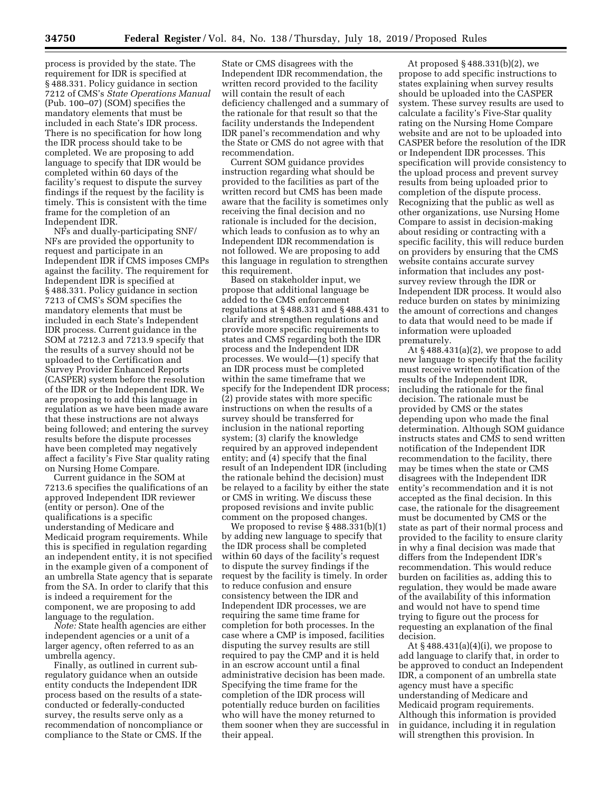process is provided by the state. The requirement for IDR is specified at § 488.331. Policy guidance in section 7212 of CMS's *State Operations Manual*  (Pub. 100–07) (SOM) specifies the mandatory elements that must be included in each State's IDR process. There is no specification for how long the IDR process should take to be completed. We are proposing to add language to specify that IDR would be completed within 60 days of the facility's request to dispute the survey findings if the request by the facility is timely. This is consistent with the time frame for the completion of an Independent IDR.

NFs and dually-participating SNF/ NFs are provided the opportunity to request and participate in an Independent IDR if CMS imposes CMPs against the facility. The requirement for Independent IDR is specified at § 488.331. Policy guidance in section 7213 of CMS's SOM specifies the mandatory elements that must be included in each State's Independent IDR process. Current guidance in the SOM at 7212.3 and 7213.9 specify that the results of a survey should not be uploaded to the Certification and Survey Provider Enhanced Reports (CASPER) system before the resolution of the IDR or the Independent IDR. We are proposing to add this language in regulation as we have been made aware that these instructions are not always being followed; and entering the survey results before the dispute processes have been completed may negatively affect a facility's Five Star quality rating on Nursing Home Compare.

Current guidance in the SOM at 7213.6 specifies the qualifications of an approved Independent IDR reviewer (entity or person). One of the qualifications is a specific understanding of Medicare and Medicaid program requirements. While this is specified in regulation regarding an independent entity, it is not specified in the example given of a component of an umbrella State agency that is separate from the SA. In order to clarify that this is indeed a requirement for the component, we are proposing to add language to the regulation.

*Note:* State health agencies are either independent agencies or a unit of a larger agency, often referred to as an umbrella agency.

Finally, as outlined in current subregulatory guidance when an outside entity conducts the Independent IDR process based on the results of a stateconducted or federally-conducted survey, the results serve only as a recommendation of noncompliance or compliance to the State or CMS. If the

State or CMS disagrees with the Independent IDR recommendation, the written record provided to the facility will contain the result of each deficiency challenged and a summary of the rationale for that result so that the facility understands the Independent IDR panel's recommendation and why the State or CMS do not agree with that recommendation.

Current SOM guidance provides instruction regarding what should be provided to the facilities as part of the written record but CMS has been made aware that the facility is sometimes only receiving the final decision and no rationale is included for the decision, which leads to confusion as to why an Independent IDR recommendation is not followed. We are proposing to add this language in regulation to strengthen this requirement.

Based on stakeholder input, we propose that additional language be added to the CMS enforcement regulations at § 488.331 and § 488.431 to clarify and strengthen regulations and provide more specific requirements to states and CMS regarding both the IDR process and the Independent IDR processes. We would—(1) specify that an IDR process must be completed within the same timeframe that we specify for the Independent IDR process; (2) provide states with more specific instructions on when the results of a survey should be transferred for inclusion in the national reporting system; (3) clarify the knowledge required by an approved independent entity; and (4) specify that the final result of an Independent IDR (including the rationale behind the decision) must be relayed to a facility by either the state or CMS in writing. We discuss these proposed revisions and invite public comment on the proposed changes.

We proposed to revise § 488.331(b)(1) by adding new language to specify that the IDR process shall be completed within 60 days of the facility's request to dispute the survey findings if the request by the facility is timely. In order to reduce confusion and ensure consistency between the IDR and Independent IDR processes, we are requiring the same time frame for completion for both processes. In the case where a CMP is imposed, facilities disputing the survey results are still required to pay the CMP and it is held in an escrow account until a final administrative decision has been made. Specifying the time frame for the completion of the IDR process will potentially reduce burden on facilities who will have the money returned to them sooner when they are successful in their appeal.

At proposed § 488.331(b)(2), we propose to add specific instructions to states explaining when survey results should be uploaded into the CASPER system. These survey results are used to calculate a facility's Five-Star quality rating on the Nursing Home Compare website and are not to be uploaded into CASPER before the resolution of the IDR or Independent IDR processes. This specification will provide consistency to the upload process and prevent survey results from being uploaded prior to completion of the dispute process. Recognizing that the public as well as other organizations, use Nursing Home Compare to assist in decision-making about residing or contracting with a specific facility, this will reduce burden on providers by ensuring that the CMS website contains accurate survey information that includes any postsurvey review through the IDR or Independent IDR process. It would also reduce burden on states by minimizing the amount of corrections and changes to data that would need to be made if information were uploaded prematurely.

At § 488.431(a)(2), we propose to add new language to specify that the facility must receive written notification of the results of the Independent IDR, including the rationale for the final decision. The rationale must be provided by CMS or the states depending upon who made the final determination. Although SOM guidance instructs states and CMS to send written notification of the Independent IDR recommendation to the facility, there may be times when the state or CMS disagrees with the Independent IDR entity's recommendation and it is not accepted as the final decision. In this case, the rationale for the disagreement must be documented by CMS or the state as part of their normal process and provided to the facility to ensure clarity in why a final decision was made that differs from the Independent IDR's recommendation. This would reduce burden on facilities as, adding this to regulation, they would be made aware of the availability of this information and would not have to spend time trying to figure out the process for requesting an explanation of the final decision.

At  $§$  488.431(a)(4)(i), we propose to add language to clarify that, in order to be approved to conduct an Independent IDR, a component of an umbrella state agency must have a specific understanding of Medicare and Medicaid program requirements. Although this information is provided in guidance, including it in regulation will strengthen this provision. In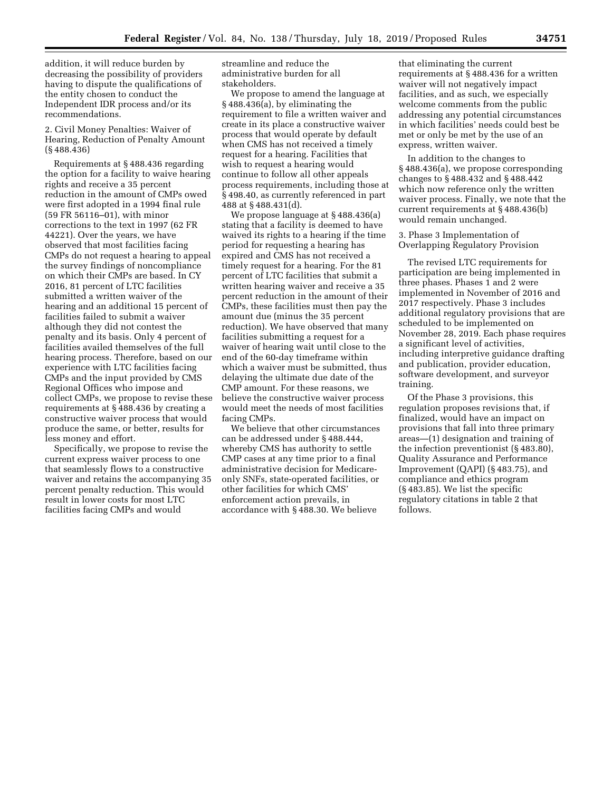addition, it will reduce burden by decreasing the possibility of providers having to dispute the qualifications of the entity chosen to conduct the Independent IDR process and/or its recommendations.

2. Civil Money Penalties: Waiver of Hearing, Reduction of Penalty Amount (§ 488.436)

Requirements at § 488.436 regarding the option for a facility to waive hearing rights and receive a 35 percent reduction in the amount of CMPs owed were first adopted in a 1994 final rule (59 FR 56116–01), with minor corrections to the text in 1997 (62 FR 44221). Over the years, we have observed that most facilities facing CMPs do not request a hearing to appeal the survey findings of noncompliance on which their CMPs are based. In CY 2016, 81 percent of LTC facilities submitted a written waiver of the hearing and an additional 15 percent of facilities failed to submit a waiver although they did not contest the penalty and its basis. Only 4 percent of facilities availed themselves of the full hearing process. Therefore, based on our experience with LTC facilities facing CMPs and the input provided by CMS Regional Offices who impose and collect CMPs, we propose to revise these requirements at § 488.436 by creating a constructive waiver process that would produce the same, or better, results for less money and effort.

Specifically, we propose to revise the current express waiver process to one that seamlessly flows to a constructive waiver and retains the accompanying 35 percent penalty reduction. This would result in lower costs for most LTC facilities facing CMPs and would

streamline and reduce the administrative burden for all stakeholders.

We propose to amend the language at § 488.436(a), by eliminating the requirement to file a written waiver and create in its place a constructive waiver process that would operate by default when CMS has not received a timely request for a hearing. Facilities that wish to request a hearing would continue to follow all other appeals process requirements, including those at § 498.40, as currently referenced in part 488 at § 488.431(d).

We propose language at § 488.436(a) stating that a facility is deemed to have waived its rights to a hearing if the time period for requesting a hearing has expired and CMS has not received a timely request for a hearing. For the 81 percent of LTC facilities that submit a written hearing waiver and receive a 35 percent reduction in the amount of their CMPs, these facilities must then pay the amount due (minus the 35 percent reduction). We have observed that many facilities submitting a request for a waiver of hearing wait until close to the end of the 60-day timeframe within which a waiver must be submitted, thus delaying the ultimate due date of the CMP amount. For these reasons, we believe the constructive waiver process would meet the needs of most facilities facing CMPs.

We believe that other circumstances can be addressed under § 488.444, whereby CMS has authority to settle CMP cases at any time prior to a final administrative decision for Medicareonly SNFs, state-operated facilities, or other facilities for which CMS' enforcement action prevails, in accordance with § 488.30. We believe

that eliminating the current requirements at § 488.436 for a written waiver will not negatively impact facilities, and as such, we especially welcome comments from the public addressing any potential circumstances in which facilities' needs could best be met or only be met by the use of an express, written waiver.

In addition to the changes to § 488.436(a), we propose corresponding changes to § 488.432 and § 488.442 which now reference only the written waiver process. Finally, we note that the current requirements at § 488.436(b) would remain unchanged.

3. Phase 3 Implementation of Overlapping Regulatory Provision

The revised LTC requirements for participation are being implemented in three phases. Phases 1 and 2 were implemented in November of 2016 and 2017 respectively. Phase 3 includes additional regulatory provisions that are scheduled to be implemented on November 28, 2019. Each phase requires a significant level of activities, including interpretive guidance drafting and publication, provider education, software development, and surveyor training.

Of the Phase 3 provisions, this regulation proposes revisions that, if finalized, would have an impact on provisions that fall into three primary areas—(1) designation and training of the infection preventionist (§ 483.80), Quality Assurance and Performance Improvement (QAPI) (§ 483.75), and compliance and ethics program (§ 483.85). We list the specific regulatory citations in table 2 that follows.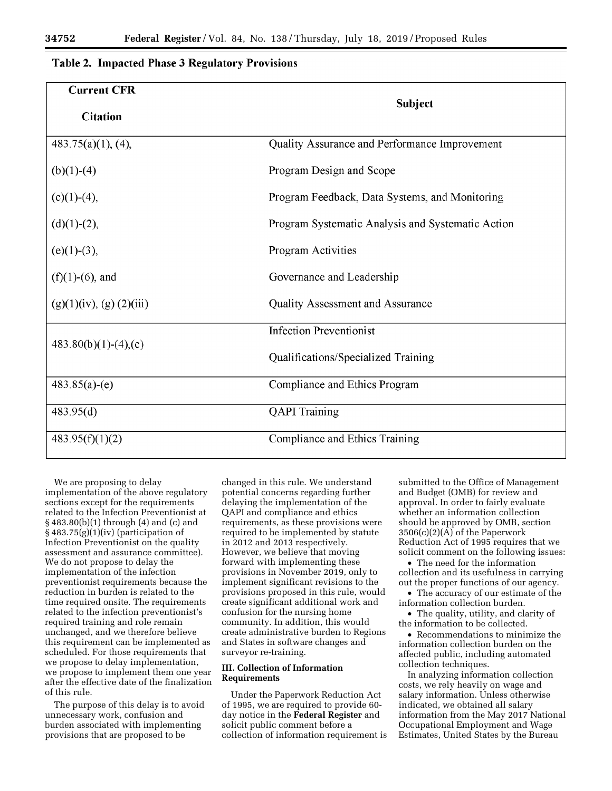# Table 2. Impacted Phase 3 Regulatory Provisions

| <b>Current CFR</b>      |                                                   |  |  |  |
|-------------------------|---------------------------------------------------|--|--|--|
| <b>Citation</b>         | <b>Subject</b>                                    |  |  |  |
| $483.75(a)(1)$ , (4),   | Quality Assurance and Performance Improvement     |  |  |  |
| $(b)(1)-(4)$            | Program Design and Scope                          |  |  |  |
| $(c)(1)-(4),$           | Program Feedback, Data Systems, and Monitoring    |  |  |  |
| $(d)(1)-(2),$           | Program Systematic Analysis and Systematic Action |  |  |  |
| $(e)(1)-(3),$           | Program Activities                                |  |  |  |
| $(f)(1)-(6)$ , and      | Governance and Leadership                         |  |  |  |
| (g)(1)(iv), (g)(2)(iii) | <b>Quality Assessment and Assurance</b>           |  |  |  |
|                         | <b>Infection Preventionist</b>                    |  |  |  |
| $483.80(b)(1)-(4),(c)$  | Qualifications/Specialized Training               |  |  |  |
| $483.85(a)-(e)$         | Compliance and Ethics Program                     |  |  |  |
| 483.95(d)               | <b>QAPI</b> Training                              |  |  |  |
| 483.95(f)(1)(2)         | Compliance and Ethics Training                    |  |  |  |

We are proposing to delay implementation of the above regulatory sections except for the requirements related to the Infection Preventionist at § 483.80(b)(1) through (4) and (c) and § 483.75(g)(1)(iv) (participation of Infection Preventionist on the quality assessment and assurance committee). We do not propose to delay the implementation of the infection preventionist requirements because the reduction in burden is related to the time required onsite. The requirements related to the infection preventionist's required training and role remain unchanged, and we therefore believe this requirement can be implemented as scheduled. For those requirements that we propose to delay implementation, we propose to implement them one year after the effective date of the finalization of this rule.

The purpose of this delay is to avoid unnecessary work, confusion and burden associated with implementing provisions that are proposed to be

changed in this rule. We understand potential concerns regarding further delaying the implementation of the QAPI and compliance and ethics requirements, as these provisions were required to be implemented by statute in 2012 and 2013 respectively. However, we believe that moving forward with implementing these provisions in November 2019, only to implement significant revisions to the provisions proposed in this rule, would create significant additional work and confusion for the nursing home community. In addition, this would create administrative burden to Regions and States in software changes and surveyor re-training.

# **III. Collection of Information Requirements**

Under the Paperwork Reduction Act of 1995, we are required to provide 60 day notice in the **Federal Register** and solicit public comment before a collection of information requirement is submitted to the Office of Management and Budget (OMB) for review and approval. In order to fairly evaluate whether an information collection should be approved by OMB, section 3506(c)(2)(A) of the Paperwork Reduction Act of 1995 requires that we solicit comment on the following issues:

• The need for the information collection and its usefulness in carrying out the proper functions of our agency.

• The accuracy of our estimate of the information collection burden.

• The quality, utility, and clarity of the information to be collected.

• Recommendations to minimize the information collection burden on the affected public, including automated collection techniques.

In analyzing information collection costs, we rely heavily on wage and salary information. Unless otherwise indicated, we obtained all salary information from the May 2017 National Occupational Employment and Wage Estimates, United States by the Bureau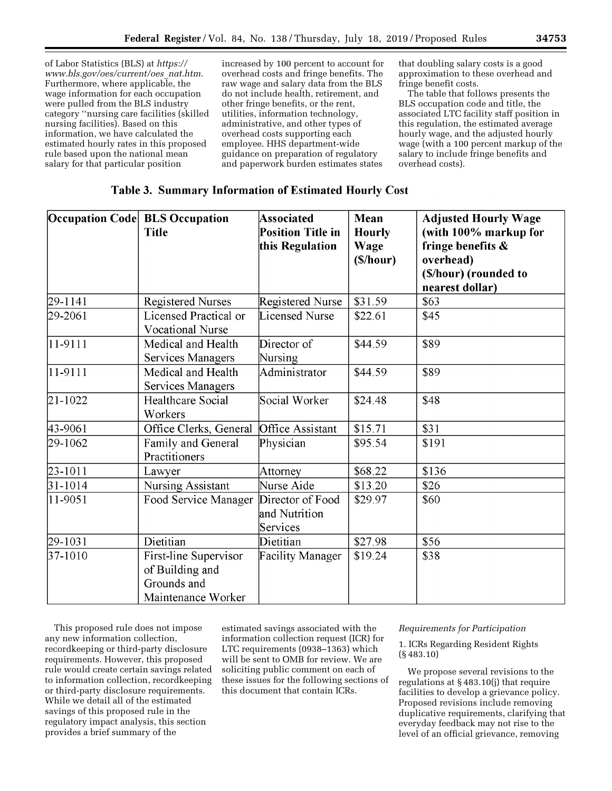of Labor Statistics (BLS) at *[https://](https://www.bls.gov/oes/current/oes_nat.htm) [www.bls.gov/oes/current/oes](https://www.bls.gov/oes/current/oes_nat.htm)*\_*nat.htm.*  Furthermore, where applicable, the wage information for each occupation were pulled from the BLS industry category ''nursing care facilities (skilled nursing facilities). Based on this information, we have calculated the estimated hourly rates in this proposed rule based upon the national mean salary for that particular position

increased by 100 percent to account for overhead costs and fringe benefits. The raw wage and salary data from the BLS do not include health, retirement, and other fringe benefits, or the rent, utilities, information technology, administrative, and other types of overhead costs supporting each employee. HHS department-wide guidance on preparation of regulatory and paperwork burden estimates states

that doubling salary costs is a good approximation to these overhead and fringe benefit costs.

The table that follows presents the BLS occupation code and title, the associated LTC facility staff position in this regulation, the estimated average hourly wage, and the adjusted hourly wage (with a 100 percent markup of the salary to include fringe benefits and overhead costs).

# Table 3. Summary Information of Estimated Hourly Cost

|             | Occupation Code BLS Occupation<br><b>Title</b>                                | <b>Associated</b><br><b>Position Title in</b><br>this Regulation | <b>Mean</b><br><b>Hourly</b><br>Wage<br>(S/hour) | <b>Adjusted Hourly Wage</b><br>(with 100% markup for<br>fringe benefits $\&$<br>overhead)<br>(\$/hour) (rounded to<br>nearest dollar) |
|-------------|-------------------------------------------------------------------------------|------------------------------------------------------------------|--------------------------------------------------|---------------------------------------------------------------------------------------------------------------------------------------|
| 29-1141     | <b>Registered Nurses</b>                                                      | Registered Nurse                                                 | \$31.59                                          | \$63                                                                                                                                  |
| 29-2061     | Licensed Practical or<br><b>Vocational Nurse</b>                              | Licensed Nurse                                                   | \$22.61                                          | \$45                                                                                                                                  |
| $11-9111$   | Medical and Health<br>Services Managers                                       | Director of<br>Nursing                                           | \$44.59                                          | \$89                                                                                                                                  |
| 11-9111     | Medical and Health<br>Services Managers                                       | Administrator                                                    | \$44.59                                          | \$89                                                                                                                                  |
| 21-1022     | <b>Healthcare Social</b><br>Workers                                           | Social Worker                                                    | \$24.48                                          | \$48                                                                                                                                  |
| 43-9061     | Office Clerks, General                                                        | <b>Office Assistant</b>                                          | \$15.71                                          | \$31                                                                                                                                  |
| 29-1062     | Family and General<br>Practitioners                                           | Physician                                                        | \$95.54                                          | \$191                                                                                                                                 |
| 23-1011     | Lawyer                                                                        | Attorney                                                         | \$68.22                                          | \$136                                                                                                                                 |
| $31 - 1014$ | Nursing Assistant                                                             | Nurse Aide                                                       | \$13.20                                          | \$26                                                                                                                                  |
| 11-9051     | Food Service Manager                                                          | Director of Food<br>and Nutrition<br>Services                    | \$29.97                                          | \$60                                                                                                                                  |
| 29-1031     | Dietitian                                                                     | Dietitian                                                        | \$27.98                                          | \$56                                                                                                                                  |
| 37-1010     | First-line Supervisor<br>of Building and<br>Grounds and<br>Maintenance Worker | <b>Facility Manager</b>                                          | \$19.24                                          | \$38                                                                                                                                  |

This proposed rule does not impose any new information collection, recordkeeping or third-party disclosure requirements. However, this proposed rule would create certain savings related to information collection, recordkeeping or third-party disclosure requirements. While we detail all of the estimated savings of this proposed rule in the regulatory impact analysis, this section provides a brief summary of the

estimated savings associated with the information collection request (ICR) for LTC requirements (0938–1363) which will be sent to OMB for review. We are soliciting public comment on each of these issues for the following sections of this document that contain ICRs.

# *Requirements for Participation*

1. ICRs Regarding Resident Rights (§ 483.10)

We propose several revisions to the regulations at § 483.10(j) that require facilities to develop a grievance policy. Proposed revisions include removing duplicative requirements, clarifying that everyday feedback may not rise to the level of an official grievance, removing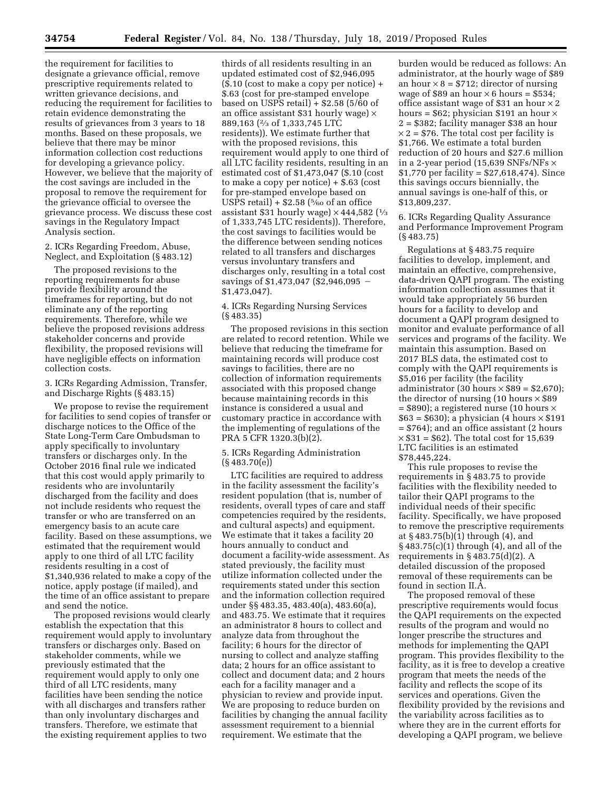the requirement for facilities to designate a grievance official, remove prescriptive requirements related to written grievance decisions, and reducing the requirement for facilities to retain evidence demonstrating the results of grievances from 3 years to 18 months. Based on these proposals, we believe that there may be minor information collection cost reductions for developing a grievance policy. However, we believe that the majority of the cost savings are included in the proposal to remove the requirement for the grievance official to oversee the grievance process. We discuss these cost savings in the Regulatory Impact Analysis section.

2. ICRs Regarding Freedom, Abuse, Neglect, and Exploitation (§ 483.12)

The proposed revisions to the reporting requirements for abuse provide flexibility around the timeframes for reporting, but do not eliminate any of the reporting requirements. Therefore, while we believe the proposed revisions address stakeholder concerns and provide flexibility, the proposed revisions will have negligible effects on information collection costs.

3. ICRs Regarding Admission, Transfer, and Discharge Rights (§ 483.15)

We propose to revise the requirement for facilities to send copies of transfer or discharge notices to the Office of the State Long-Term Care Ombudsman to apply specifically to involuntary transfers or discharges only. In the October 2016 final rule we indicated that this cost would apply primarily to residents who are involuntarily discharged from the facility and does not include residents who request the transfer or who are transferred on an emergency basis to an acute care facility. Based on these assumptions, we estimated that the requirement would apply to one third of all LTC facility residents resulting in a cost of \$1,340,936 related to make a copy of the notice, apply postage (if mailed), and the time of an office assistant to prepare and send the notice.

The proposed revisions would clearly establish the expectation that this requirement would apply to involuntary transfers or discharges only. Based on stakeholder comments, while we previously estimated that the requirement would apply to only one third of all LTC residents, many facilities have been sending the notice with all discharges and transfers rather than only involuntary discharges and transfers. Therefore, we estimate that the existing requirement applies to two

thirds of all residents resulting in an updated estimated cost of \$2,946,095 (\$.10 (cost to make a copy per notice) + \$.63 (cost for pre-stamped envelope based on USPS retail)  $+$  \$2.58 (5/60 of an office assistant \$31 hourly wage)  $\times$ 889,163 (2⁄3 of 1,333,745 LTC residents)). We estimate further that with the proposed revisions, this requirement would apply to one third of all LTC facility residents, resulting in an estimated cost of \$1,473,047 (\$.10 (cost to make a copy per notice) + \$.63 (cost for pre-stamped envelope based on USPS retail) +  $$2.58$  ( $\frac{5}{60}$  of an office assistant \$31 hourly wage)  $\times$  444,582 ( $\frac{1}{3}$ of 1,333,745 LTC residents)). Therefore, the cost savings to facilities would be the difference between sending notices related to all transfers and discharges versus involuntary transfers and discharges only, resulting in a total cost savings of  $$1,473,047$  (\$2,946,095 – \$1,473,047).

4. ICRs Regarding Nursing Services (§ 483.35)

The proposed revisions in this section are related to record retention. While we believe that reducing the timeframe for maintaining records will produce cost savings to facilities, there are no collection of information requirements associated with this proposed change because maintaining records in this instance is considered a usual and customary practice in accordance with the implementing of regulations of the PRA 5 CFR 1320.3(b)(2).

#### 5. ICRs Regarding Administration (§ 483.70(e))

LTC facilities are required to address in the facility assessment the facility's resident population (that is, number of residents, overall types of care and staff competencies required by the residents, and cultural aspects) and equipment. We estimate that it takes a facility 20 hours annually to conduct and document a facility-wide assessment. As stated previously, the facility must utilize information collected under the requirements stated under this section and the information collection required under §§ 483.35, 483.40(a), 483.60(a), and 483.75. We estimate that it requires an administrator 8 hours to collect and analyze data from throughout the facility; 6 hours for the director of nursing to collect and analyze staffing data; 2 hours for an office assistant to collect and document data; and 2 hours each for a facility manager and a physician to review and provide input. We are proposing to reduce burden on facilities by changing the annual facility assessment requirement to a biennial requirement. We estimate that the

burden would be reduced as follows: An administrator, at the hourly wage of \$89 an hour  $\times$  8 = \$712; director of nursing wage of \$89 an hour  $\times$  6 hours = \$534; office assistant wage of \$31 an hour  $\times$  2 hours =  $$62$ ; physician \$191 an hour  $\times$ 2 = \$382; facility manager \$38 an hour  $\times$  2 = \$76. The total cost per facility is \$1,766. We estimate a total burden reduction of 20 hours and \$27.6 million in a 2-year period (15,639 SNFs/NFs × \$1,770 per facility = \$27,618,474). Since this savings occurs biennially, the annual savings is one-half of this, or \$13,809,237.

6. ICRs Regarding Quality Assurance and Performance Improvement Program (§ 483.75)

Regulations at § 483.75 require facilities to develop, implement, and maintain an effective, comprehensive, data-driven QAPI program. The existing information collection assumes that it would take appropriately 56 burden hours for a facility to develop and document a QAPI program designed to monitor and evaluate performance of all services and programs of the facility. We maintain this assumption. Based on 2017 BLS data, the estimated cost to comply with the QAPI requirements is \$5,016 per facility (the facility administrator (30 hours  $\times$  \$89 = \$2,670); the director of nursing (10 hours  $\times$  \$89  $=$  \$890); a registered nurse (10 hours  $\times$  $$63 = $630$ ; a physician (4 hours  $\times $191$ = \$764); and an office assistant (2 hours  $\times$  \$31 = \$62). The total cost for 15,639 LTC facilities is an estimated \$78,445,224.

This rule proposes to revise the requirements in § 483.75 to provide facilities with the flexibility needed to tailor their QAPI programs to the individual needs of their specific facility. Specifically, we have proposed to remove the prescriptive requirements at § 483.75(b)(1) through (4), and § 483.75(c)(1) through (4), and all of the requirements in § 483.75(d)(2). A detailed discussion of the proposed removal of these requirements can be found in section II.A.

The proposed removal of these prescriptive requirements would focus the QAPI requirements on the expected results of the program and would no longer prescribe the structures and methods for implementing the QAPI program. This provides flexibility to the facility, as it is free to develop a creative program that meets the needs of the facility and reflects the scope of its services and operations. Given the flexibility provided by the revisions and the variability across facilities as to where they are in the current efforts for developing a QAPI program, we believe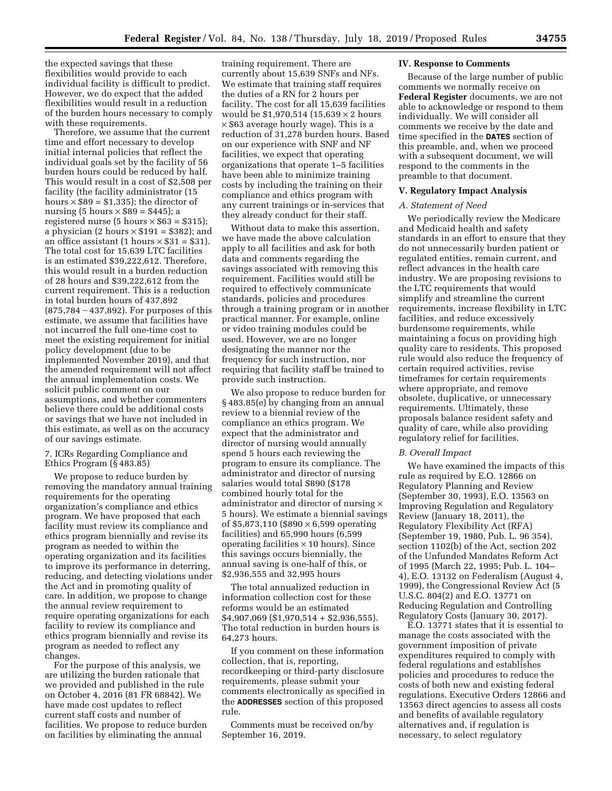the expected savings that these flexibilities would provide to each individual facility is difficult to predict. However, we do expect that the added flexibilities would result in a reduction of the burden hours necessary to comply with these requirements.

Therefore, we assume that the current time and effort necessary to develop initial internal policies that reflect the individual goals set by the facility of 56 burden hours could be reduced by half. This would result in a cost of \$2,508 per facility (the facility administrator (15 hours  $\times$  \$89 = \$1,335); the director of nursing (5 hours  $\times$  \$89 = \$445); a registered nurse (5 hours  $\times$  \$63 = \$315); a physician (2 hours  $\times$  \$191 = \$382); and an office assistant (1 hours  $\times$  \$31 = \$31). The total cost for 15,639 LTC facilities is an estimated \$39,222,612. Therefore, this would result in a burden reduction of 28 hours and \$39,222,612 from the current requirement. This is a reduction in total burden hours of 437,892  $(875, 784 - 437, 892)$ . For purposes of this estimate, we assume that facilities have not incurred the full one-time cost to meet the existing requirement for initial policy development (due to be implemented November 2019), and that the amended requirement will not affect the annual implementation costs. We solicit public comment on our assumptions, and whether commenters believe there could be additional costs or savings that we have not included in this estimate, as well as on the accuracy of our savings estimate.

7. ICRs Regarding Compliance and Ethics Program (§ 483.85)

We propose to reduce burden by removing the mandatory annual training requirements for the operating organization's compliance and ethics program. We have proposed that each facility must review its compliance and ethics program biennially and revise its program as needed to within the operating organization and its facilities to improve its performance in deterring, reducing, and detecting violations under the Act and in promoting quality of care. In addition, we propose to change the annual review requirement to require operating organizations for each facility to review its compliance and ethics program biennially and revise its program as needed to reflect any changes.

For the purpose of this analysis, we are utilizing the burden rationale that we provided and published in the rule on October 4, 2016 (81 FR 68842). We have made cost updates to reflect current staff costs and number of facilities. We propose to reduce burden on facilities by eliminating the annual

training requirement. There are currently about 15,639 SNFs and NFs. We estimate that training staff requires the duties of a RN for 2 hours per facility. The cost for all 15,639 facilities would be  $$1,970,514$  (15,639  $\times$  2 hours × \$63 average hourly wage). This is a reduction of 31,278 burden hours. Based on our experience with SNF and NF facilities, we expect that operating organizations that operate 1–5 facilities have been able to minimize training costs by including the training on their compliance and ethics program with any current trainings or in-services that they already conduct for their staff.

Without data to make this assertion, we have made the above calculation apply to all facilities and ask for both data and comments regarding the savings associated with removing this requirement. Facilities would still be required to effectively communicate standards, policies and procedures through a training program or in another practical manner. For example, online or video training modules could be used. However, we are no longer designating the manner nor the frequency for such instruction, nor requiring that facility staff be trained to provide such instruction.

We also propose to reduce burden for § 483.85(e) by changing from an annual review to a biennial review of the compliance an ethics program. We expect that the administrator and director of nursing would annually spend 5 hours each reviewing the program to ensure its compliance. The administrator and director of nursing salaries would total \$890 (\$178 combined hourly total for the administrator and director of nursing  $\times$ 5 hours). We estimate a biennial savings of \$5,873,110 (\$890  $\times$  6,599 operating facilities) and 65,990 hours (6,599 operating facilities  $\times$  10 hours). Since this savings occurs biennially, the annual saving is one-half of this, or \$2,936,555 and 32,995 hours

The total annualized reduction in information collection cost for these reforms would be an estimated \$4,907,069 (\$1,970,514 + \$2,936,555). The total reduction in burden hours is 64,273 hours.

If you comment on these information collection, that is, reporting, recordkeeping or third-party disclosure requirements, please submit your comments electronically as specified in the **ADDRESSES** section of this proposed rule.

Comments must be received on/by September 16, 2019.

#### **IV. Response to Comments**

Because of the large number of public comments we normally receive on **Federal Register** documents, we are not able to acknowledge or respond to them individually. We will consider all comments we receive by the date and time specified in the **DATES** section of this preamble, and, when we proceed with a subsequent document, we will respond to the comments in the preamble to that document.

#### **V. Regulatory Impact Analysis**

## *A. Statement of Need*

We periodically review the Medicare and Medicaid health and safety standards in an effort to ensure that they do not unnecessarily burden patient or regulated entities, remain current, and reflect advances in the health care industry. We are proposing revisions to the LTC requirements that would simplify and streamline the current requirements, increase flexibility in LTC facilities, and reduce excessively burdensome requirements, while maintaining a focus on providing high quality care to residents. This proposed rule would also reduce the frequency of certain required activities, revise timeframes for certain requirements where appropriate, and remove obsolete, duplicative, or unnecessary requirements. Ultimately, these proposals balance resident safety and quality of care, while also providing regulatory relief for facilities.

#### *B. Overall Impact*

We have examined the impacts of this rule as required by E.O. 12866 on Regulatory Planning and Review (September 30, 1993), E.O. 13563 on Improving Regulation and Regulatory Review (January 18, 2011), the Regulatory Flexibility Act (RFA) (September 19, 1980, Pub. L. 96 354), section 1102(b) of the Act, section 202 of the Unfunded Mandates Reform Act of 1995 (March 22, 1995; Pub. L. 104– 4), E.O. 13132 on Federalism (August 4, 1999), the Congressional Review Act (5 U.S.C. 804(2) and E.O. 13771 on Reducing Regulation and Controlling Regulatory Costs (January 30, 2017).

E.O. 13771 states that it is essential to manage the costs associated with the government imposition of private expenditures required to comply with federal regulations and establishes policies and procedures to reduce the costs of both new and existing federal regulations. Executive Orders 12866 and 13563 direct agencies to assess all costs and benefits of available regulatory alternatives and, if regulation is necessary, to select regulatory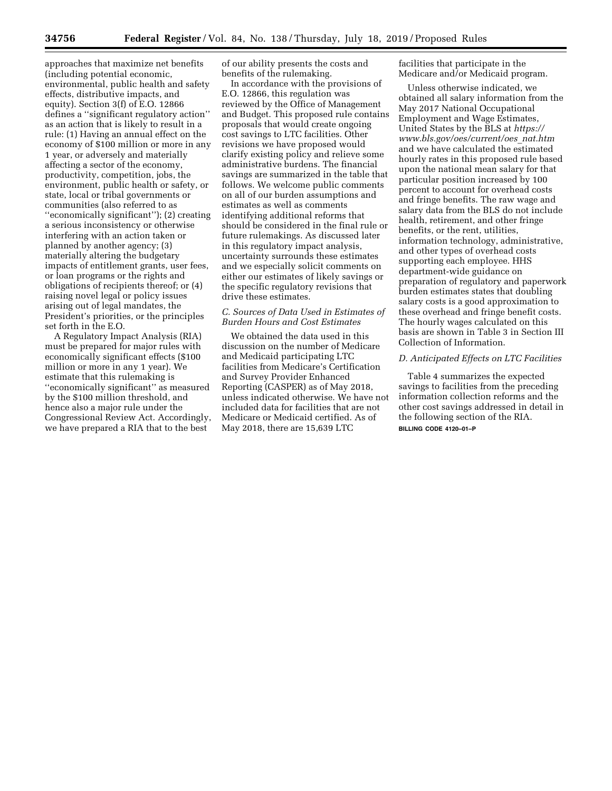approaches that maximize net benefits (including potential economic, environmental, public health and safety effects, distributive impacts, and equity). Section 3(f) of E.O. 12866 defines a ''significant regulatory action'' as an action that is likely to result in a rule: (1) Having an annual effect on the economy of \$100 million or more in any 1 year, or adversely and materially affecting a sector of the economy, productivity, competition, jobs, the environment, public health or safety, or state, local or tribal governments or communities (also referred to as ''economically significant''); (2) creating a serious inconsistency or otherwise interfering with an action taken or planned by another agency; (3) materially altering the budgetary impacts of entitlement grants, user fees, or loan programs or the rights and obligations of recipients thereof; or (4) raising novel legal or policy issues arising out of legal mandates, the President's priorities, or the principles set forth in the E.O.

A Regulatory Impact Analysis (RIA) must be prepared for major rules with economically significant effects (\$100 million or more in any 1 year). We estimate that this rulemaking is ''economically significant'' as measured by the \$100 million threshold, and hence also a major rule under the Congressional Review Act. Accordingly, we have prepared a RIA that to the best

of our ability presents the costs and benefits of the rulemaking.

In accordance with the provisions of E.O. 12866, this regulation was reviewed by the Office of Management and Budget. This proposed rule contains proposals that would create ongoing cost savings to LTC facilities. Other revisions we have proposed would clarify existing policy and relieve some administrative burdens. The financial savings are summarized in the table that follows. We welcome public comments on all of our burden assumptions and estimates as well as comments identifying additional reforms that should be considered in the final rule or future rulemakings. As discussed later in this regulatory impact analysis, uncertainty surrounds these estimates and we especially solicit comments on either our estimates of likely savings or the specific regulatory revisions that drive these estimates.

# *C. Sources of Data Used in Estimates of Burden Hours and Cost Estimates*

We obtained the data used in this discussion on the number of Medicare and Medicaid participating LTC facilities from Medicare's Certification and Survey Provider Enhanced Reporting (CASPER) as of May 2018, unless indicated otherwise. We have not included data for facilities that are not Medicare or Medicaid certified. As of May 2018, there are 15,639 LTC

facilities that participate in the Medicare and/or Medicaid program.

Unless otherwise indicated, we obtained all salary information from the May 2017 National Occupational Employment and Wage Estimates, United States by the BLS at *[https://](https://www.bls.gov/oes/current/oes_nat.htm) [www.bls.gov/oes/current/oes](https://www.bls.gov/oes/current/oes_nat.htm)*\_*nat.htm*  and we have calculated the estimated hourly rates in this proposed rule based upon the national mean salary for that particular position increased by 100 percent to account for overhead costs and fringe benefits. The raw wage and salary data from the BLS do not include health, retirement, and other fringe benefits, or the rent, utilities, information technology, administrative, and other types of overhead costs supporting each employee. HHS department-wide guidance on preparation of regulatory and paperwork burden estimates states that doubling salary costs is a good approximation to these overhead and fringe benefit costs. The hourly wages calculated on this basis are shown in Table 3 in Section III Collection of Information.

# *D. Anticipated Effects on LTC Facilities*

Table 4 summarizes the expected savings to facilities from the preceding information collection reforms and the other cost savings addressed in detail in the following section of the RIA. **BILLING CODE 4120–01–P**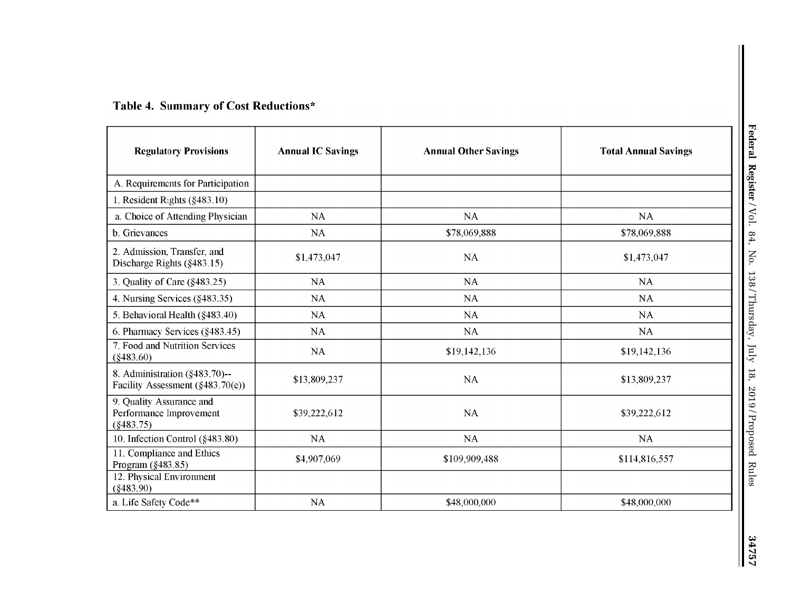# **Table 4. Summary of Cost Reductions\***

| <b>Regulatory Provisions</b>                                         | <b>Annual IC Savings</b> | <b>Annual Other Savings</b> | <b>Total Annual Savings</b> |  |
|----------------------------------------------------------------------|--------------------------|-----------------------------|-----------------------------|--|
| A. Requirements for Participation                                    |                          |                             |                             |  |
| 1. Resident Rights $(\$483.10)$                                      |                          |                             |                             |  |
| a. Choice of Attending Physician                                     | <b>NA</b>                | NA                          | <b>NA</b>                   |  |
| b. Grievances                                                        | NA                       | \$78,069,888                | \$78,069,888                |  |
| 2. Admission, Transfer, and<br>Discharge Rights (§483.15)            | \$1,473,047              | NA                          | \$1,473,047                 |  |
| 3. Quality of Care $(\S 483.25)$                                     | NA                       | NA                          | <b>NA</b>                   |  |
| 4. Nursing Services (§483.35)                                        | <b>NA</b>                | <b>NA</b>                   | <b>NA</b>                   |  |
| 5. Behavioral Health (§483.40)                                       | NA                       | <b>NA</b>                   | NA                          |  |
| 6. Pharmacy Services (§483.45)                                       | NA                       | <b>NA</b>                   | <b>NA</b>                   |  |
| 7. Food and Nutrition Services<br>$(\$483.60)$                       | NA                       | \$19,142,136                | \$19,142,136                |  |
| 8. Administration (§483.70)--<br>Facility Assessment $(\$483.70(e))$ | \$13,809,237             | NA                          | \$13,809,237                |  |
| 9. Quality Assurance and<br>Performance Improvement<br>(§483.75)     | NA<br>\$39,222,612       |                             | \$39,222,612                |  |
| 10. Infection Control (§483.80)                                      | NA                       | NA                          | NA                          |  |
| 11. Compliance and Ethics<br>Program (§483.85)                       | \$4,907,069              | \$109,909,488               | \$114,816,557               |  |
| 12. Physical Environment<br>$(\$483.90)$                             |                          |                             |                             |  |
| a. Life Safety Code**                                                | NA                       | \$48,000,000                | \$48,000,000                |  |

34757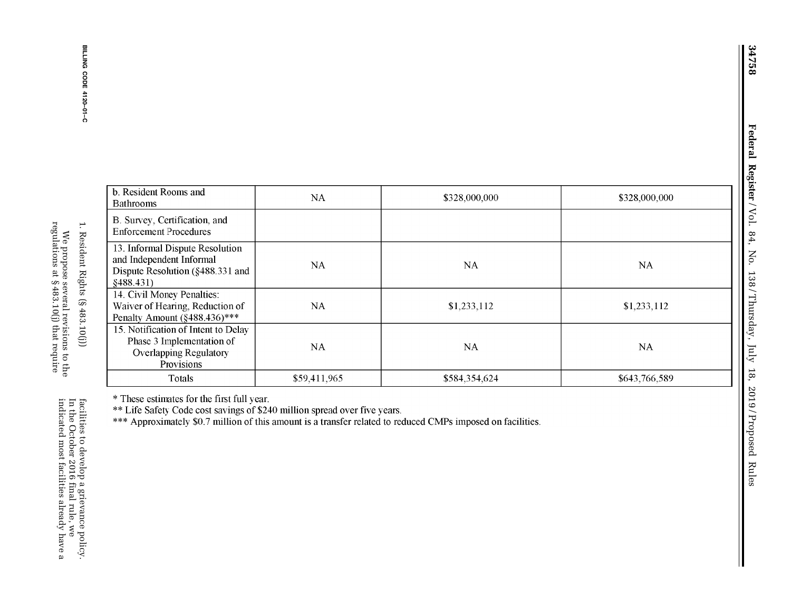| ֧֧֧֧֧֧֧֧֦֧֧֧֧֚֚֚֚֚֚֚֚֚֬֕֕֓֝֓֝֓֝֓֕֓֝֬֝֬֝֬֝֬֜֝֬֝֬<br>l<br>Ç<br>l                                                                                                                                                                                                   |
|------------------------------------------------------------------------------------------------------------------------------------------------------------------------------------------------------------------------------------------------------------------|
| --------                                                                                                                                                                                                                                                         |
| r hot of the completed and a limit of the state of the context of the state of the state of the state of the state of the state of the state of the state of the state of the state of the state of the state of the state of<br>֖֢ׅ֧֚֚֚֚֚֚֚֚֚֚֚֚֚֚֚֚֚֚֬֡֡֜֡֜֓֡֡ |
|                                                                                                                                                                                                                                                                  |
|                                                                                                                                                                                                                                                                  |
| l                                                                                                                                                                                                                                                                |
|                                                                                                                                                                                                                                                                  |
|                                                                                                                                                                                                                                                                  |
| j<br>İ                                                                                                                                                                                                                                                           |
|                                                                                                                                                                                                                                                                  |
| j<br>l                                                                                                                                                                                                                                                           |

| b. Resident Rooms and<br><b>Bathrooms</b>                                                                        | NA           | \$328,000,000 | \$328,000,000 |
|------------------------------------------------------------------------------------------------------------------|--------------|---------------|---------------|
| B. Survey, Certification, and<br><b>Enforcement Procedures</b>                                                   |              |               |               |
| 13. Informal Dispute Resolution<br>and Independent Informal<br>Dispute Resolution $(\S 488.331$ and<br>§488.431) | <b>NA</b>    | NA            | <b>NA</b>     |
| 14. Civil Money Penalties:<br>Waiver of Hearing, Reduction of<br>Penalty Amount (§488.436)***                    | <b>NA</b>    | \$1,233,112   | \$1,233,112   |
| 15. Notification of Intent to Delay<br>Phase 3 Implementation of<br><b>Overlapping Regulatory</b><br>Provisions  | <b>NA</b>    | <b>NA</b>     | <b>NA</b>     |
| Totals                                                                                                           | \$59,411,965 | \$584,354,624 | \$643,766,589 |

\* These estimates for the first full year.

\*\*Life Safety Code cost savings of \$240 million spread over five years.

\* \* \* Approximately \$0.7 million of this amount is a transfer related to reduced CMPs imposed on facilities.

facilities to develop a grievance policy.<br>In the October 2016 final rule, we indicated most facilities already have a In the October 2016 final rule, we facilities to develop a grievance policy.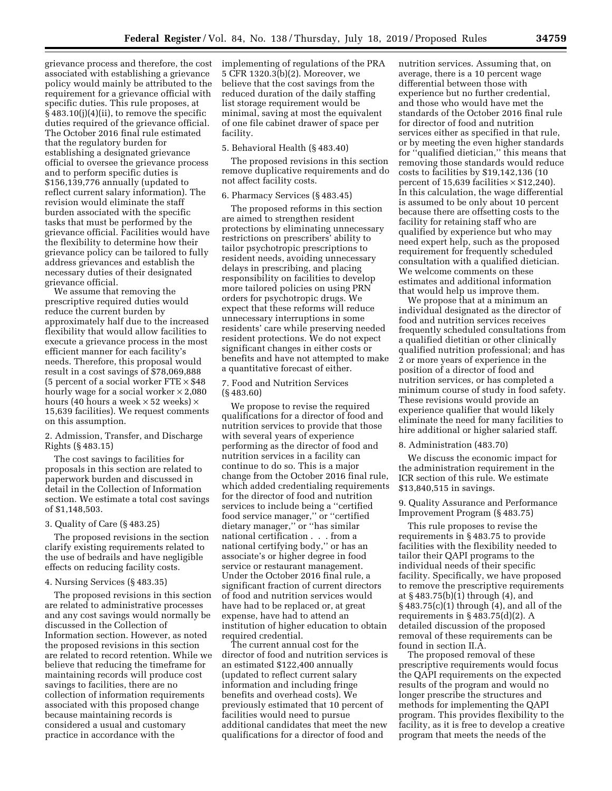grievance process and therefore, the cost associated with establishing a grievance policy would mainly be attributed to the requirement for a grievance official with specific duties. This rule proposes, at § 483.10(j)(4)(ii), to remove the specific duties required of the grievance official. The October 2016 final rule estimated that the regulatory burden for establishing a designated grievance official to oversee the grievance process and to perform specific duties is \$156,139,776 annually (updated to reflect current salary information). The revision would eliminate the staff burden associated with the specific tasks that must be performed by the grievance official. Facilities would have the flexibility to determine how their grievance policy can be tailored to fully address grievances and establish the necessary duties of their designated grievance official.

We assume that removing the prescriptive required duties would reduce the current burden by approximately half due to the increased flexibility that would allow facilities to execute a grievance process in the most efficient manner for each facility's needs. Therefore, this proposal would result in a cost savings of \$78,069,888 (5 percent of a social worker  $FTE \times $48$ hourly wage for a social worker  $\times$  2,080 hours (40 hours a week  $\times$  52 weeks)  $\times$ 15,639 facilities). We request comments on this assumption.

2. Admission, Transfer, and Discharge Rights (§ 483.15)

The cost savings to facilities for proposals in this section are related to paperwork burden and discussed in detail in the Collection of Information section. We estimate a total cost savings of \$1,148,503.

#### 3. Quality of Care (§ 483.25)

The proposed revisions in the section clarify existing requirements related to the use of bedrails and have negligible effects on reducing facility costs.

# 4. Nursing Services (§ 483.35)

The proposed revisions in this section are related to administrative processes and any cost savings would normally be discussed in the Collection of Information section. However, as noted the proposed revisions in this section are related to record retention. While we believe that reducing the timeframe for maintaining records will produce cost savings to facilities, there are no collection of information requirements associated with this proposed change because maintaining records is considered a usual and customary practice in accordance with the

implementing of regulations of the PRA 5 CFR 1320.3(b)(2). Moreover, we believe that the cost savings from the reduced duration of the daily staffing list storage requirement would be minimal, saving at most the equivalent of one file cabinet drawer of space per facility.

#### 5. Behavioral Health (§ 483.40)

The proposed revisions in this section remove duplicative requirements and do not affect facility costs.

# 6. Pharmacy Services (§ 483.45)

The proposed reforms in this section are aimed to strengthen resident protections by eliminating unnecessary restrictions on prescribers' ability to tailor psychotropic prescriptions to resident needs, avoiding unnecessary delays in prescribing, and placing responsibility on facilities to develop more tailored policies on using PRN orders for psychotropic drugs. We expect that these reforms will reduce unnecessary interruptions in some residents' care while preserving needed resident protections. We do not expect significant changes in either costs or benefits and have not attempted to make a quantitative forecast of either.

7. Food and Nutrition Services (§ 483.60)

We propose to revise the required qualifications for a director of food and nutrition services to provide that those with several years of experience performing as the director of food and nutrition services in a facility can continue to do so. This is a major change from the October 2016 final rule, which added credentialing requirements for the director of food and nutrition services to include being a ''certified food service manager,'' or ''certified dietary manager,'' or ''has similar national certification . . . from a national certifying body,'' or has an associate's or higher degree in food service or restaurant management. Under the October 2016 final rule, a significant fraction of current directors of food and nutrition services would have had to be replaced or, at great expense, have had to attend an institution of higher education to obtain required credential.

The current annual cost for the director of food and nutrition services is an estimated \$122,400 annually (updated to reflect current salary information and including fringe benefits and overhead costs). We previously estimated that 10 percent of facilities would need to pursue additional candidates that meet the new qualifications for a director of food and

nutrition services. Assuming that, on average, there is a 10 percent wage differential between those with experience but no further credential, and those who would have met the standards of the October 2016 final rule for director of food and nutrition services either as specified in that rule, or by meeting the even higher standards for ''qualified dietician,'' this means that removing those standards would reduce costs to facilities by \$19,142,136 (10 percent of  $15,639$  facilities  $\times$  \$12,240). In this calculation, the wage differential is assumed to be only about 10 percent because there are offsetting costs to the facility for retaining staff who are qualified by experience but who may need expert help, such as the proposed requirement for frequently scheduled consultation with a qualified dietician. We welcome comments on these estimates and additional information that would help us improve them.

We propose that at a minimum an individual designated as the director of food and nutrition services receives frequently scheduled consultations from a qualified dietitian or other clinically qualified nutrition professional; and has 2 or more years of experience in the position of a director of food and nutrition services, or has completed a minimum course of study in food safety. These revisions would provide an experience qualifier that would likely eliminate the need for many facilities to hire additional or higher salaried staff.

# 8. Administration (483.70)

We discuss the economic impact for the administration requirement in the ICR section of this rule. We estimate \$13,840,515 in savings.

9. Quality Assurance and Performance Improvement Program (§ 483.75)

This rule proposes to revise the requirements in § 483.75 to provide facilities with the flexibility needed to tailor their QAPI programs to the individual needs of their specific facility. Specifically, we have proposed to remove the prescriptive requirements at § 483.75(b)(1) through (4), and § 483.75(c)(1) through (4), and all of the requirements in § 483.75(d)(2). A detailed discussion of the proposed removal of these requirements can be found in section II.A.

The proposed removal of these prescriptive requirements would focus the QAPI requirements on the expected results of the program and would no longer prescribe the structures and methods for implementing the QAPI program. This provides flexibility to the facility, as it is free to develop a creative program that meets the needs of the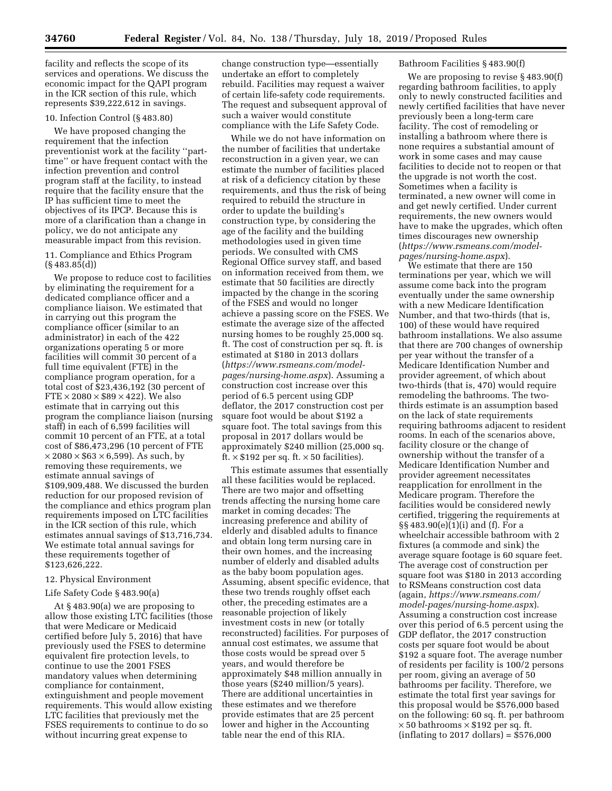facility and reflects the scope of its services and operations. We discuss the economic impact for the QAPI program in the ICR section of this rule, which represents \$39,222,612 in savings.

# 10. Infection Control (§ 483.80)

We have proposed changing the requirement that the infection preventionist work at the facility ''parttime'' or have frequent contact with the infection prevention and control program staff at the facility, to instead require that the facility ensure that the IP has sufficient time to meet the objectives of its IPCP. Because this is more of a clarification than a change in policy, we do not anticipate any measurable impact from this revision.

11. Compliance and Ethics Program (§ 483.85(d))

We propose to reduce cost to facilities by eliminating the requirement for a dedicated compliance officer and a compliance liaison. We estimated that in carrying out this program the compliance officer (similar to an administrator) in each of the 422 organizations operating 5 or more facilities will commit 30 percent of a full time equivalent (FTE) in the compliance program operation, for a total cost of \$23,436,192 (30 percent of  $FTE \times 2080 \times $89 \times 422$ . We also estimate that in carrying out this program the compliance liaison (nursing staff) in each of 6,599 facilities will commit 10 percent of an FTE, at a total cost of \$86,473,296 (10 percent of FTE  $\times$  2080  $\times$  \$63  $\times$  6,599). As such, by removing these requirements, we estimate annual savings of \$109,909,488. We discussed the burden reduction for our proposed revision of the compliance and ethics program plan requirements imposed on LTC facilities in the ICR section of this rule, which estimates annual savings of \$13,716,734. We estimate total annual savings for these requirements together of \$123,626,222.

# 12. Physical Environment

## Life Safety Code § 483.90(a)

At § 483.90(a) we are proposing to allow those existing LTC facilities (those that were Medicare or Medicaid certified before July 5, 2016) that have previously used the FSES to determine equivalent fire protection levels, to continue to use the 2001 FSES mandatory values when determining compliance for containment, extinguishment and people movement requirements. This would allow existing LTC facilities that previously met the FSES requirements to continue to do so without incurring great expense to

change construction type—essentially undertake an effort to completely rebuild. Facilities may request a waiver of certain life-safety code requirements. The request and subsequent approval of such a waiver would constitute compliance with the Life Safety Code.

While we do not have information on the number of facilities that undertake reconstruction in a given year, we can estimate the number of facilities placed at risk of a deficiency citation by these requirements, and thus the risk of being required to rebuild the structure in order to update the building's construction type, by considering the age of the facility and the building methodologies used in given time periods. We consulted with CMS Regional Office survey staff, and based on information received from them, we estimate that 50 facilities are directly impacted by the change in the scoring of the FSES and would no longer achieve a passing score on the FSES. We estimate the average size of the affected nursing homes to be roughly 25,000 sq. ft. The cost of construction per sq. ft. is estimated at \$180 in 2013 dollars (*[https://www.rsmeans.com/model](https://www.rsmeans.com/model-pages/nursing-home.aspx)[pages/nursing-home.aspx](https://www.rsmeans.com/model-pages/nursing-home.aspx)*). Assuming a construction cost increase over this period of 6.5 percent using GDP deflator, the 2017 construction cost per square foot would be about \$192 a square foot. The total savings from this proposal in 2017 dollars would be approximately \$240 million (25,000 sq. ft.  $\times$  \$192 per sq. ft.  $\times$  50 facilities).

This estimate assumes that essentially all these facilities would be replaced. There are two major and offsetting trends affecting the nursing home care market in coming decades: The increasing preference and ability of elderly and disabled adults to finance and obtain long term nursing care in their own homes, and the increasing number of elderly and disabled adults as the baby boom population ages. Assuming, absent specific evidence, that these two trends roughly offset each other, the preceding estimates are a reasonable projection of likely investment costs in new (or totally reconstructed) facilities. For purposes of annual cost estimates, we assume that those costs would be spread over 5 years, and would therefore be approximately \$48 million annually in those years (\$240 million/5 years). There are additional uncertainties in these estimates and we therefore provide estimates that are 25 percent lower and higher in the Accounting table near the end of this RIA.

## Bathroom Facilities § 483.90(f)

We are proposing to revise § 483.90(f) regarding bathroom facilities, to apply only to newly constructed facilities and newly certified facilities that have never previously been a long-term care facility. The cost of remodeling or installing a bathroom where there is none requires a substantial amount of work in some cases and may cause facilities to decide not to reopen or that the upgrade is not worth the cost. Sometimes when a facility is terminated, a new owner will come in and get newly certified. Under current requirements, the new owners would have to make the upgrades, which often times discourages new ownership (*[https://www.rsmeans.com/model](https://www.rsmeans.com/model-pages/nursing-home.aspx)[pages/nursing-home.aspx](https://www.rsmeans.com/model-pages/nursing-home.aspx)*).

We estimate that there are 150 terminations per year, which we will assume come back into the program eventually under the same ownership with a new Medicare Identification Number, and that two-thirds (that is, 100) of these would have required bathroom installations. We also assume that there are 700 changes of ownership per year without the transfer of a Medicare Identification Number and provider agreement, of which about two-thirds (that is, 470) would require remodeling the bathrooms. The twothirds estimate is an assumption based on the lack of state requirements requiring bathrooms adjacent to resident rooms. In each of the scenarios above, facility closure or the change of ownership without the transfer of a Medicare Identification Number and provider agreement necessitates reapplication for enrollment in the Medicare program. Therefore the facilities would be considered newly certified, triggering the requirements at §§ 483.90(e)(1)(i) and (f). For a wheelchair accessible bathroom with 2 fixtures (a commode and sink) the average square footage is 60 square feet. The average cost of construction per square foot was \$180 in 2013 according to RSMeans construction cost data (again, *[https://www.rsmeans.com/](https://www.rsmeans.com/model-pages/nursing-home.aspx) [model-pages/nursing-home.aspx](https://www.rsmeans.com/model-pages/nursing-home.aspx)*). Assuming a construction cost increase over this period of 6.5 percent using the GDP deflator, the 2017 construction costs per square foot would be about \$192 a square foot. The average number of residents per facility is 100/2 persons per room, giving an average of 50 bathrooms per facility. Therefore, we estimate the total first year savings for this proposal would be \$576,000 based on the following: 60 sq. ft. per bathroom  $\times$  50 bathrooms  $\times$  \$192 per sq. ft.  $(inflating to 2017 dollars) = $576,000$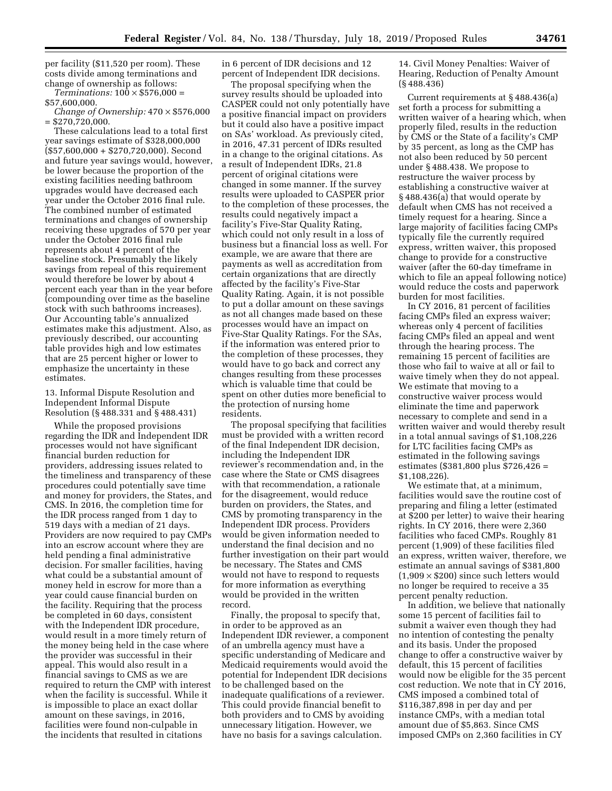per facility (\$11,520 per room). These costs divide among terminations and change of ownership as follows:

 $Terminations: 100 \times $576,000 =$ 

\$57,600,000.

*Change of Ownership:* 470 × \$576,000 = \$270,720,000.

These calculations lead to a total first year savings estimate of \$328,000,000 (\$57,600,000 + \$270,720,000). Second and future year savings would, however, be lower because the proportion of the existing facilities needing bathroom upgrades would have decreased each year under the October 2016 final rule. The combined number of estimated terminations and changes of ownership receiving these upgrades of 570 per year under the October 2016 final rule represents about 4 percent of the baseline stock. Presumably the likely savings from repeal of this requirement would therefore be lower by about 4 percent each year than in the year before (compounding over time as the baseline stock with such bathrooms increases). Our Accounting table's annualized estimates make this adjustment. Also, as previously described, our accounting table provides high and low estimates that are 25 percent higher or lower to emphasize the uncertainty in these estimates.

13. Informal Dispute Resolution and Independent Informal Dispute Resolution (§ 488.331 and § 488.431)

While the proposed provisions regarding the IDR and Independent IDR processes would not have significant financial burden reduction for providers, addressing issues related to the timeliness and transparency of these procedures could potentially save time and money for providers, the States, and CMS. In 2016, the completion time for the IDR process ranged from 1 day to 519 days with a median of 21 days. Providers are now required to pay CMPs into an escrow account where they are held pending a final administrative decision. For smaller facilities, having what could be a substantial amount of money held in escrow for more than a year could cause financial burden on the facility. Requiring that the process be completed in 60 days, consistent with the Independent IDR procedure, would result in a more timely return of the money being held in the case where the provider was successful in their appeal. This would also result in a financial savings to CMS as we are required to return the CMP with interest when the facility is successful. While it is impossible to place an exact dollar amount on these savings, in 2016, facilities were found non-culpable in the incidents that resulted in citations

in 6 percent of IDR decisions and 12 percent of Independent IDR decisions.

The proposal specifying when the survey results should be uploaded into CASPER could not only potentially have a positive financial impact on providers but it could also have a positive impact on SAs' workload. As previously cited, in 2016, 47.31 percent of IDRs resulted in a change to the original citations. As a result of Independent IDRs, 21.8 percent of original citations were changed in some manner. If the survey results were uploaded to CASPER prior to the completion of these processes, the results could negatively impact a facility's Five-Star Quality Rating, which could not only result in a loss of business but a financial loss as well. For example, we are aware that there are payments as well as accreditation from certain organizations that are directly affected by the facility's Five-Star Quality Rating. Again, it is not possible to put a dollar amount on these savings as not all changes made based on these processes would have an impact on Five-Star Quality Ratings. For the SAs, if the information was entered prior to the completion of these processes, they would have to go back and correct any changes resulting from these processes which is valuable time that could be spent on other duties more beneficial to the protection of nursing home residents.

The proposal specifying that facilities must be provided with a written record of the final Independent IDR decision, including the Independent IDR reviewer's recommendation and, in the case where the State or CMS disagrees with that recommendation, a rationale for the disagreement, would reduce burden on providers, the States, and CMS by promoting transparency in the Independent IDR process. Providers would be given information needed to understand the final decision and no further investigation on their part would be necessary. The States and CMS would not have to respond to requests for more information as everything would be provided in the written record.

Finally, the proposal to specify that, in order to be approved as an Independent IDR reviewer, a component of an umbrella agency must have a specific understanding of Medicare and Medicaid requirements would avoid the potential for Independent IDR decisions to be challenged based on the inadequate qualifications of a reviewer. This could provide financial benefit to both providers and to CMS by avoiding unnecessary litigation. However, we have no basis for a savings calculation.

14. Civil Money Penalties: Waiver of Hearing, Reduction of Penalty Amount (§ 488.436)

Current requirements at § 488.436(a) set forth a process for submitting a written waiver of a hearing which, when properly filed, results in the reduction by CMS or the State of a facility's CMP by 35 percent, as long as the CMP has not also been reduced by 50 percent under § 488.438. We propose to restructure the waiver process by establishing a constructive waiver at § 488.436(a) that would operate by default when CMS has not received a timely request for a hearing. Since a large majority of facilities facing CMPs typically file the currently required express, written waiver, this proposed change to provide for a constructive waiver (after the 60-day timeframe in which to file an appeal following notice) would reduce the costs and paperwork burden for most facilities.

In CY 2016, 81 percent of facilities facing CMPs filed an express waiver; whereas only 4 percent of facilities facing CMPs filed an appeal and went through the hearing process. The remaining 15 percent of facilities are those who fail to waive at all or fail to waive timely when they do not appeal. We estimate that moving to a constructive waiver process would eliminate the time and paperwork necessary to complete and send in a written waiver and would thereby result in a total annual savings of \$1,108,226 for LTC facilities facing CMPs as estimated in the following savings estimates (\$381,800 plus \$726,426 = \$1,108,226).

We estimate that, at a minimum, facilities would save the routine cost of preparing and filing a letter (estimated at \$200 per letter) to waive their hearing rights. In CY 2016, there were 2,360 facilities who faced CMPs. Roughly 81 percent (1,909) of these facilities filed an express, written waiver, therefore, we estimate an annual savings of \$381,800  $(1,909 \times $200)$  since such letters would no longer be required to receive a 35 percent penalty reduction.

In addition, we believe that nationally some 15 percent of facilities fail to submit a waiver even though they had no intention of contesting the penalty and its basis. Under the proposed change to offer a constructive waiver by default, this 15 percent of facilities would now be eligible for the 35 percent cost reduction. We note that in CY 2016, CMS imposed a combined total of \$116,387,898 in per day and per instance CMPs, with a median total amount due of \$5,863. Since CMS imposed CMPs on 2,360 facilities in CY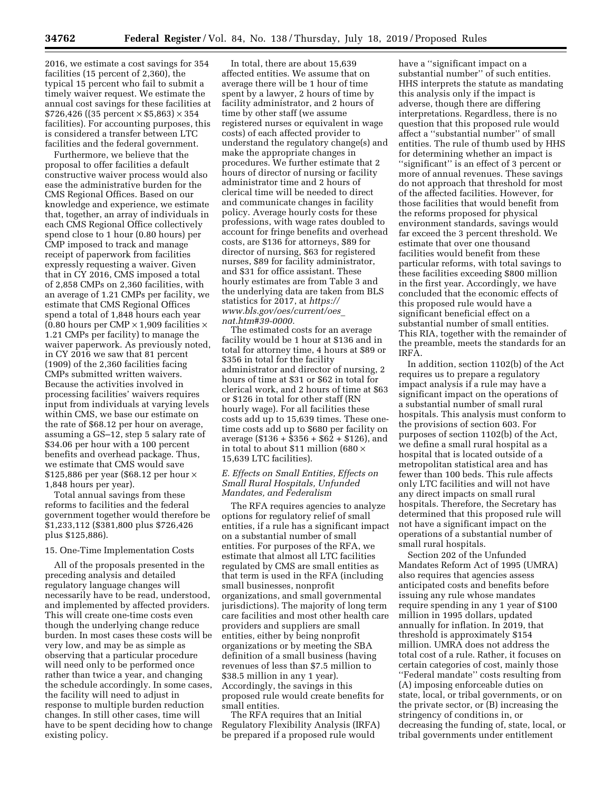2016, we estimate a cost savings for 354 facilities (15 percent of 2,360), the typical 15 percent who fail to submit a timely waiver request. We estimate the annual cost savings for these facilities at  $$726,426$  ((35 percent  $\times $5,863$ )  $\times 354$ facilities). For accounting purposes, this is considered a transfer between LTC facilities and the federal government.

Furthermore, we believe that the proposal to offer facilities a default constructive waiver process would also ease the administrative burden for the CMS Regional Offices. Based on our knowledge and experience, we estimate that, together, an array of individuals in each CMS Regional Office collectively spend close to 1 hour (0.80 hours) per CMP imposed to track and manage receipt of paperwork from facilities expressly requesting a waiver. Given that in CY 2016, CMS imposed a total of 2,858 CMPs on 2,360 facilities, with an average of 1.21 CMPs per facility, we estimate that CMS Regional Offices spend a total of 1,848 hours each year  $(0.80$  hours per CMP  $\times$  1,909 facilities  $\times$ 1.21 CMPs per facility) to manage the waiver paperwork. As previously noted, in CY 2016 we saw that 81 percent (1909) of the 2,360 facilities facing CMPs submitted written waivers. Because the activities involved in processing facilities' waivers requires input from individuals at varying levels within CMS, we base our estimate on the rate of \$68.12 per hour on average, assuming a GS–12, step 5 salary rate of \$34.06 per hour with a 100 percent benefits and overhead package. Thus, we estimate that CMS would save \$125,886 per year (\$68.12 per hour  $\times$ 1,848 hours per year).

Total annual savings from these reforms to facilities and the federal government together would therefore be \$1,233,112 (\$381,800 plus \$726,426 plus \$125,886).

# 15. One-Time Implementation Costs

All of the proposals presented in the preceding analysis and detailed regulatory language changes will necessarily have to be read, understood, and implemented by affected providers. This will create one-time costs even though the underlying change reduce burden. In most cases these costs will be very low, and may be as simple as observing that a particular procedure will need only to be performed once rather than twice a year, and changing the schedule accordingly. In some cases, the facility will need to adjust in response to multiple burden reduction changes. In still other cases, time will have to be spent deciding how to change existing policy.

In total, there are about 15,639 affected entities. We assume that on average there will be 1 hour of time spent by a lawyer, 2 hours of time by facility administrator, and 2 hours of time by other staff (we assume registered nurses or equivalent in wage costs) of each affected provider to understand the regulatory change(s) and make the appropriate changes in procedures. We further estimate that 2 hours of director of nursing or facility administrator time and 2 hours of clerical time will be needed to direct and communicate changes in facility policy. Average hourly costs for these professions, with wage rates doubled to account for fringe benefits and overhead costs, are \$136 for attorneys, \$89 for director of nursing, \$63 for registered nurses, \$89 for facility administrator, and \$31 for office assistant. These hourly estimates are from Table 3 and the underlying data are taken from BLS statistics for 2017, at *[https://](https://www.bls.gov/oes/current/oes_nat.htm#39-0000) [www.bls.gov/oes/current/oes](https://www.bls.gov/oes/current/oes_nat.htm#39-0000)*\_ *[nat.htm#39-0000.](https://www.bls.gov/oes/current/oes_nat.htm#39-0000)* 

The estimated costs for an average facility would be 1 hour at \$136 and in total for attorney time, 4 hours at \$89 or \$356 in total for the facility administrator and director of nursing, 2 hours of time at \$31 or \$62 in total for clerical work, and 2 hours of time at \$63 or \$126 in total for other staff (RN hourly wage). For all facilities these costs add up to 15,639 times. These onetime costs add up to \$680 per facility on average (\$136 + \$356 + \$62 + \$126), and in total to about \$11 million (680  $\times$ 15,639 LTC facilities).

#### *E. Effects on Small Entities, Effects on Small Rural Hospitals, Unfunded Mandates, and Federalism*

The RFA requires agencies to analyze options for regulatory relief of small entities, if a rule has a significant impact on a substantial number of small entities. For purposes of the RFA, we estimate that almost all LTC facilities regulated by CMS are small entities as that term is used in the RFA (including small businesses, nonprofit organizations, and small governmental jurisdictions). The majority of long term care facilities and most other health care providers and suppliers are small entities, either by being nonprofit organizations or by meeting the SBA definition of a small business (having revenues of less than \$7.5 million to \$38.5 million in any 1 year). Accordingly, the savings in this proposed rule would create benefits for small entities.

The RFA requires that an Initial Regulatory Flexibility Analysis (IRFA) be prepared if a proposed rule would

have a ''significant impact on a substantial number'' of such entities. HHS interprets the statute as mandating this analysis only if the impact is adverse, though there are differing interpretations. Regardless, there is no question that this proposed rule would affect a ''substantial number'' of small entities. The rule of thumb used by HHS for determining whether an impact is ''significant'' is an effect of 3 percent or more of annual revenues. These savings do not approach that threshold for most of the affected facilities. However, for those facilities that would benefit from the reforms proposed for physical environment standards, savings would far exceed the 3 percent threshold. We estimate that over one thousand facilities would benefit from these particular reforms, with total savings to these facilities exceeding \$800 million in the first year. Accordingly, we have concluded that the economic effects of this proposed rule would have a significant beneficial effect on a substantial number of small entities. This RIA, together with the remainder of the preamble, meets the standards for an IRFA.

In addition, section 1102(b) of the Act requires us to prepare a regulatory impact analysis if a rule may have a significant impact on the operations of a substantial number of small rural hospitals. This analysis must conform to the provisions of section 603. For purposes of section 1102(b) of the Act, we define a small rural hospital as a hospital that is located outside of a metropolitan statistical area and has fewer than 100 beds. This rule affects only LTC facilities and will not have any direct impacts on small rural hospitals. Therefore, the Secretary has determined that this proposed rule will not have a significant impact on the operations of a substantial number of small rural hospitals.

Section 202 of the Unfunded Mandates Reform Act of 1995 (UMRA) also requires that agencies assess anticipated costs and benefits before issuing any rule whose mandates require spending in any 1 year of \$100 million in 1995 dollars, updated annually for inflation. In 2019, that threshold is approximately \$154 million. UMRA does not address the total cost of a rule. Rather, it focuses on certain categories of cost, mainly those ''Federal mandate'' costs resulting from (A) imposing enforceable duties on state, local, or tribal governments, or on the private sector, or (B) increasing the stringency of conditions in, or decreasing the funding of, state, local, or tribal governments under entitlement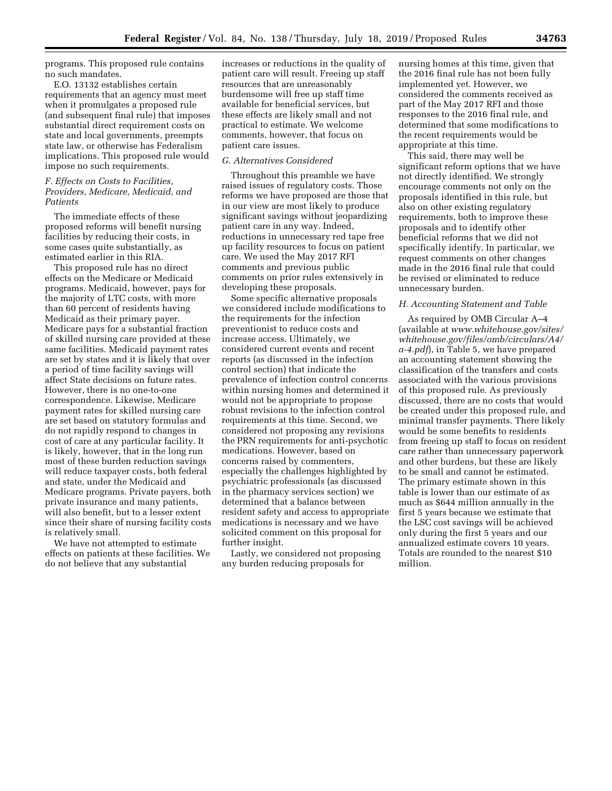programs. This proposed rule contains no such mandates.

E.O. 13132 establishes certain requirements that an agency must meet when it promulgates a proposed rule (and subsequent final rule) that imposes substantial direct requirement costs on state and local governments, preempts state law, or otherwise has Federalism implications. This proposed rule would impose no such requirements.

# *F. Effects on Costs to Facilities, Providers, Medicare, Medicaid, and Patients*

The immediate effects of these proposed reforms will benefit nursing facilities by reducing their costs, in some cases quite substantially, as estimated earlier in this RIA.

This proposed rule has no direct effects on the Medicare or Medicaid programs. Medicaid, however, pays for the majority of LTC costs, with more than 60 percent of residents having Medicaid as their primary payer. Medicare pays for a substantial fraction of skilled nursing care provided at these same facilities. Medicaid payment rates are set by states and it is likely that over a period of time facility savings will affect State decisions on future rates. However, there is no one-to-one correspondence. Likewise, Medicare payment rates for skilled nursing care are set based on statutory formulas and do not rapidly respond to changes in cost of care at any particular facility. It is likely, however, that in the long run most of these burden reduction savings will reduce taxpayer costs, both federal and state, under the Medicaid and Medicare programs. Private payers, both private insurance and many patients, will also benefit, but to a lesser extent since their share of nursing facility costs is relatively small.

We have not attempted to estimate effects on patients at these facilities. We do not believe that any substantial

increases or reductions in the quality of patient care will result. Freeing up staff resources that are unreasonably burdensome will free up staff time available for beneficial services, but these effects are likely small and not practical to estimate. We welcome comments, however, that focus on patient care issues.

# *G. Alternatives Considered*

Throughout this preamble we have raised issues of regulatory costs. Those reforms we have proposed are those that in our view are most likely to produce significant savings without jeopardizing patient care in any way. Indeed, reductions in unnecessary red tape free up facility resources to focus on patient care. We used the May 2017 RFI comments and previous public comments on prior rules extensively in developing these proposals.

Some specific alternative proposals we considered include modifications to the requirements for the infection preventionist to reduce costs and increase access. Ultimately, we considered current events and recent reports (as discussed in the infection control section) that indicate the prevalence of infection control concerns within nursing homes and determined it would not be appropriate to propose robust revisions to the infection control requirements at this time. Second, we considered not proposing any revisions the PRN requirements for anti-psychotic medications. However, based on concerns raised by commenters, especially the challenges highlighted by psychiatric professionals (as discussed in the pharmacy services section) we determined that a balance between resident safety and access to appropriate medications is necessary and we have solicited comment on this proposal for further insight.

Lastly, we considered not proposing any burden reducing proposals for

nursing homes at this time, given that the 2016 final rule has not been fully implemented yet. However, we considered the comments received as part of the May 2017 RFI and those responses to the 2016 final rule, and determined that some modifications to the recent requirements would be appropriate at this time.

This said, there may well be significant reform options that we have not directly identified. We strongly encourage comments not only on the proposals identified in this rule, but also on other existing regulatory requirements, both to improve these proposals and to identify other beneficial reforms that we did not specifically identify. In particular, we request comments on other changes made in the 2016 final rule that could be revised or eliminated to reduce unnecessary burden.

## *H. Accounting Statement and Table*

As required by OMB Circular A–4 (available at *[www.whitehouse.gov/sites/](http://www.whitehouse.gov/sites/whitehouse.gov/files/omb/circulars/A4/a-4.pdf)  [whitehouse.gov/files/omb/circulars/A4/](http://www.whitehouse.gov/sites/whitehouse.gov/files/omb/circulars/A4/a-4.pdf)  [a-4.pdf](http://www.whitehouse.gov/sites/whitehouse.gov/files/omb/circulars/A4/a-4.pdf)*), in Table 5, we have prepared an accounting statement showing the classification of the transfers and costs associated with the various provisions of this proposed rule. As previously discussed, there are no costs that would be created under this proposed rule, and minimal transfer payments. There likely would be some benefits to residents from freeing up staff to focus on resident care rather than unnecessary paperwork and other burdens, but these are likely to be small and cannot be estimated. The primary estimate shown in this table is lower than our estimate of as much as \$644 million annually in the first 5 years because we estimate that the LSC cost savings will be achieved only during the first 5 years and our annualized estimate covers 10 years. Totals are rounded to the nearest \$10 million.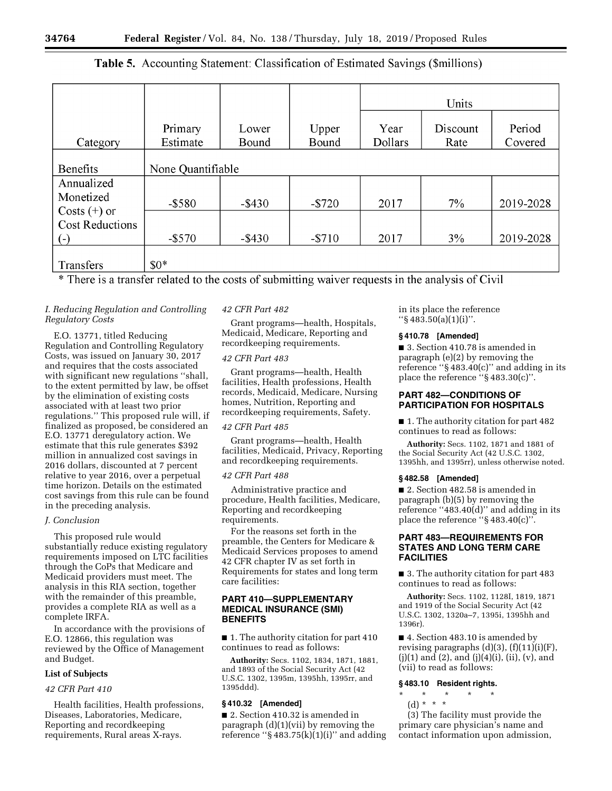# **Table 5.** Accounting Statement: Classification of Estimated Savings (\$millions)

|                                                   |           |                   |          | Units   |          |           |  |
|---------------------------------------------------|-----------|-------------------|----------|---------|----------|-----------|--|
|                                                   | Primary   | Lower             | Upper    | Year    | Discount | Period    |  |
| Category                                          | Estimate  | Bound             | Bound    | Dollars | Rate     | Covered   |  |
| <b>Benefits</b>                                   |           | None Quantifiable |          |         |          |           |  |
| Annualized<br>Monetized                           | $-$ \$580 | $-$ \$430         | $-\$720$ | 2017    | $7\%$    | 2019-2028 |  |
| Costs $(+)$ or<br><b>Cost Reductions</b><br>$(-)$ | $-$ \$570 | $-$ \$430         | $- $710$ | 2017    | 3%       | 2019-2028 |  |
| Transfers                                         | $$0*$     |                   |          |         |          |           |  |

\* There is a transfer related to the costs of submitting waiver requests in the analysis of Civil

# *I. Reducing Regulation and Controlling Regulatory Costs*

E.O. 13771, titled Reducing Regulation and Controlling Regulatory Costs, was issued on January 30, 2017 and requires that the costs associated with significant new regulations ''shall, to the extent permitted by law, be offset by the elimination of existing costs associated with at least two prior regulations.'' This proposed rule will, if finalized as proposed, be considered an E.O. 13771 deregulatory action. We estimate that this rule generates \$392 million in annualized cost savings in 2016 dollars, discounted at 7 percent relative to year 2016, over a perpetual time horizon. Details on the estimated cost savings from this rule can be found in the preceding analysis.

# *J. Conclusion*

This proposed rule would substantially reduce existing regulatory requirements imposed on LTC facilities through the CoPs that Medicare and Medicaid providers must meet. The analysis in this RIA section, together with the remainder of this preamble, provides a complete RIA as well as a complete IRFA.

In accordance with the provisions of E.O. 12866, this regulation was reviewed by the Office of Management and Budget.

# **List of Subjects**

# *42 CFR Part 410*

Health facilities, Health professions, Diseases, Laboratories, Medicare, Reporting and recordkeeping requirements, Rural areas X-rays.

# *42 CFR Part 482*

Grant programs—health, Hospitals, Medicaid, Medicare, Reporting and recordkeeping requirements.

# *42 CFR Part 483*

Grant programs—health, Health facilities, Health professions, Health records, Medicaid, Medicare, Nursing homes, Nutrition, Reporting and recordkeeping requirements, Safety.

# *42 CFR Part 485*

Grant programs—health, Health facilities, Medicaid, Privacy, Reporting and recordkeeping requirements.

# *42 CFR Part 488*

Administrative practice and procedure, Health facilities, Medicare, Reporting and recordkeeping requirements.

For the reasons set forth in the preamble, the Centers for Medicare & Medicaid Services proposes to amend 42 CFR chapter IV as set forth in Requirements for states and long term care facilities:

# **PART 410—SUPPLEMENTARY MEDICAL INSURANCE (SMI) BENEFITS**

■ 1. The authority citation for part 410 continues to read as follows:

**Authority:** Secs. 1102, 1834, 1871, 1881, and 1893 of the Social Security Act (42 U.S.C. 1302, 1395m, 1395hh, 1395rr, and 1395ddd).

# **§ 410.32 [Amended]**

■ 2. Section 410.32 is amended in paragraph  $(d)(1)(vii)$  by removing the reference " $\S$ 483.75(k)(1)(i)" and adding in its place the reference ''§ 483.50(a)(1)(i)''.

# **§ 410.78 [Amended]**

■ 3. Section 410.78 is amended in paragraph (e)(2) by removing the reference ''§ 483.40(c)'' and adding in its place the reference ''§ 483.30(c)''.

# **PART 482—CONDITIONS OF PARTICIPATION FOR HOSPITALS**

■ 1. The authority citation for part 482 continues to read as follows:

**Authority:** Secs. 1102, 1871 and 1881 of the Social Security Act (42 U.S.C. 1302, 1395hh, and 1395rr), unless otherwise noted.

## **§ 482.58 [Amended]**

■ 2. Section 482.58 is amended in paragraph (b)(5) by removing the reference "483.40(d)" and adding in its place the reference "§483.40(c)".

# **PART 483—REQUIREMENTS FOR STATES AND LONG TERM CARE FACILITIES**

■ 3. The authority citation for part 483 continues to read as follows:

**Authority:** Secs. 1102, 1128I, 1819, 1871 and 1919 of the Social Security Act (42 U.S.C. 1302, 1320a–7, 1395i, 1395hh and 1396r).

■ 4. Section 483.10 is amended by revising paragraphs  $(d)(3)$ ,  $(f)(11)(i)(F)$ ,  $(j)(1)$  and  $(2)$ , and  $(j)(4)(i)$ ,  $(ii)$ ,  $(v)$ , and (vii) to read as follows:

## **§ 483.10 Resident rights.**

- \* \* \* \* \*
- (d) \* \* \*

(3) The facility must provide the primary care physician's name and contact information upon admission,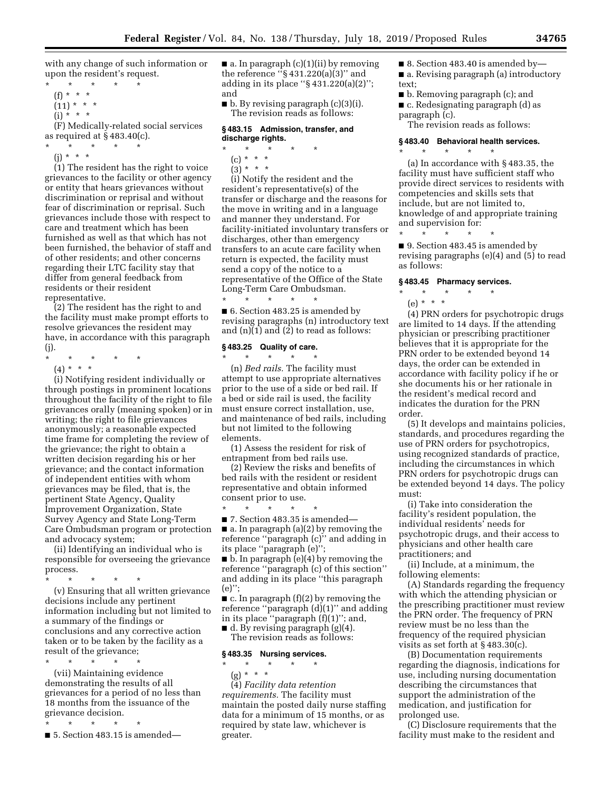with any change of such information or upon the resident's request. \* \* \* \* \*

- (f) \* \* \*
- $(11) * * * *$
- $(i) * * * *$

(F) Medically-related social services as required at § 483.40(c).

- \* \* \* \* \*
- (j) \* \* \*

(1) The resident has the right to voice grievances to the facility or other agency or entity that hears grievances without discrimination or reprisal and without fear of discrimination or reprisal. Such grievances include those with respect to care and treatment which has been furnished as well as that which has not been furnished, the behavior of staff and of other residents; and other concerns regarding their LTC facility stay that differ from general feedback from residents or their resident representative.

(2) The resident has the right to and the facility must make prompt efforts to resolve grievances the resident may have, in accordance with this paragraph (j).

- \* \* \* \* \*
- (4) \* \* \*

(i) Notifying resident individually or through postings in prominent locations throughout the facility of the right to file grievances orally (meaning spoken) or in writing; the right to file grievances anonymously; a reasonable expected time frame for completing the review of the grievance; the right to obtain a written decision regarding his or her grievance; and the contact information of independent entities with whom grievances may be filed, that is, the pertinent State Agency, Quality Improvement Organization, State Survey Agency and State Long-Term Care Ombudsman program or protection and advocacy system;

(ii) Identifying an individual who is responsible for overseeing the grievance process.

\* \* \* \* \* (v) Ensuring that all written grievance decisions include any pertinent information including but not limited to a summary of the findings or conclusions and any corrective action taken or to be taken by the facility as a result of the grievance;  $\star$   $\star$   $\star$ 

(vii) Maintaining evidence demonstrating the results of all grievances for a period of no less than 18 months from the issuance of the grievance decision.

\* \* \* \* \*

 $\blacksquare$  5. Section 483.15 is amended—

■ a. In paragraph (c)(1)(ii) by removing the reference ''§ 431.220(a)(3)'' and adding in its place " $\S 431.220(a)(2)$ "; and

■ b. By revising paragraph (c)(3)(i). The revision reads as follows:

# **§ 483.15 Admission, transfer, and discharge rights.**

- $\star$   $\star$   $\star$ (c) \* \* \*
- $(3) * * * *$

(i) Notify the resident and the resident's representative(s) of the transfer or discharge and the reasons for the move in writing and in a language and manner they understand. For facility-initiated involuntary transfers or discharges, other than emergency transfers to an acute care facility when return is expected, the facility must send a copy of the notice to a representative of the Office of the State Long-Term Care Ombudsman. \* \* \* \* \*

■ 6. Section 483.25 is amended by revising paragraphs (n) introductory text and (n)(1) and (2) to read as follows:

## **§ 483.25 Quality of care.**

\* \* \* \* \* (n) *Bed rails.* The facility must attempt to use appropriate alternatives prior to the use of a side or bed rail. If a bed or side rail is used, the facility must ensure correct installation, use, and maintenance of bed rails, including but not limited to the following elements.

(1) Assess the resident for risk of entrapment from bed rails use.

(2) Review the risks and benefits of bed rails with the resident or resident representative and obtain informed consent prior to use.

\* \* \* \* \*

 $\blacksquare$  7. Section 483.35 is amended—  $\blacksquare$  a. In paragraph (a)(2) by removing the reference ''paragraph (c)'' and adding in its place ''paragraph (e)'';

■ b. In paragraph (e)(4) by removing the reference ''paragraph (c) of this section'' and adding in its place ''this paragraph (e)'';

 $\blacksquare$  c. In paragraph (f)(2) by removing the reference ''paragraph (d)(1)'' and adding in its place ''paragraph (f)(1)''; and,

 $\blacksquare$  d. By revising paragraph (g)(4). The revision reads as follows:

# **§ 483.35 Nursing services.**

- \* \* \* \* \*
- (g) \* \* \*

(4) *Facility data retention requirements.* The facility must maintain the posted daily nurse staffing data for a minimum of 15 months, or as required by state law, whichever is greater.

- 8. Section 483.40 is amended by—
- a. Revising paragraph (a) introductory text;
- b. Removing paragraph (c); and ■ c. Redesignating paragraph (d) as paragraph (c).

The revision reads as follows:

#### **§ 483.40 Behavioral health services.**

\* \* \* \* \*

(a) In accordance with § 483.35, the facility must have sufficient staff who provide direct services to residents with competencies and skills sets that include, but are not limited to, knowledge of and appropriate training and supervision for:

\* \* \* \* \* ■ 9. Section 483.45 is amended by revising paragraphs (e)(4) and (5) to read as follows:

# **§ 483.45 Pharmacy services.**

\* \* \* \* \* (e) \* \* \*

(4) PRN orders for psychotropic drugs are limited to 14 days. If the attending physician or prescribing practitioner believes that it is appropriate for the PRN order to be extended beyond 14 days, the order can be extended in accordance with facility policy if he or she documents his or her rationale in the resident's medical record and indicates the duration for the PRN order.

(5) It develops and maintains policies, standards, and procedures regarding the use of PRN orders for psychotropics, using recognized standards of practice, including the circumstances in which PRN orders for psychotropic drugs can be extended beyond 14 days. The policy must:

(i) Take into consideration the facility's resident population, the individual residents' needs for psychotropic drugs, and their access to physicians and other health care practitioners; and

(ii) Include, at a minimum, the following elements:

(A) Standards regarding the frequency with which the attending physician or the prescribing practitioner must review the PRN order. The frequency of PRN review must be no less than the frequency of the required physician visits as set forth at § 483.30(c).

(B) Documentation requirements regarding the diagnosis, indications for use, including nursing documentation describing the circumstances that support the administration of the medication, and justification for prolonged use.

(C) Disclosure requirements that the facility must make to the resident and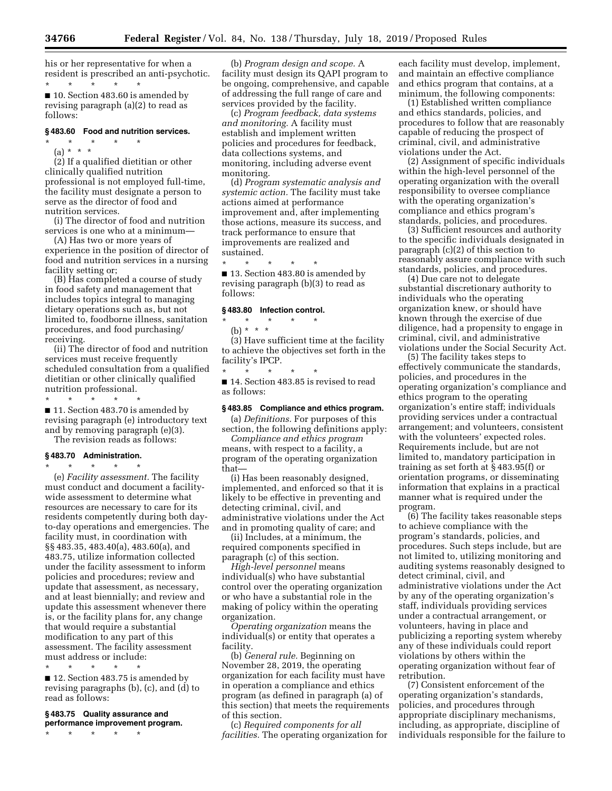his or her representative for when a resident is prescribed an anti-psychotic. \* \* \* \* \*

■ 10. Section 483.60 is amended by revising paragraph (a)(2) to read as follows:

### **§ 483.60 Food and nutrition services.**

\* \* \* \* \*

(a) \* \* \* (2) If a qualified dietitian or other clinically qualified nutrition professional is not employed full-time, the facility must designate a person to serve as the director of food and nutrition services.

(i) The director of food and nutrition services is one who at a minimum—

(A) Has two or more years of experience in the position of director of food and nutrition services in a nursing facility setting or;

(B) Has completed a course of study in food safety and management that includes topics integral to managing dietary operations such as, but not limited to, foodborne illness, sanitation procedures, and food purchasing/ receiving.

(ii) The director of food and nutrition services must receive frequently scheduled consultation from a qualified dietitian or other clinically qualified nutrition professional.

\* \* \* \* \* ■ 11. Section 483.70 is amended by revising paragraph (e) introductory text and by removing paragraph (e)(3).

The revision reads as follows:

#### **§ 483.70 Administration.**

\* \* \* \* \*

(e) *Facility assessment.* The facility must conduct and document a facilitywide assessment to determine what resources are necessary to care for its residents competently during both dayto-day operations and emergencies. The facility must, in coordination with §§ 483.35, 483.40(a), 483.60(a), and 483.75, utilize information collected under the facility assessment to inform policies and procedures; review and update that assessment, as necessary, and at least biennially; and review and update this assessment whenever there is, or the facility plans for, any change that would require a substantial modification to any part of this assessment. The facility assessment must address or include:

\* \* \* \* \*

■ 12. Section 483.75 is amended by revising paragraphs (b), (c), and (d) to read as follows:

## **§ 483.75 Quality assurance and performance improvement program.**

\* \* \* \* \*

(b) *Program design and scope.* A facility must design its QAPI program to be ongoing, comprehensive, and capable of addressing the full range of care and services provided by the facility.

(c) *Program feedback, data systems and monitoring.* A facility must establish and implement written policies and procedures for feedback, data collections systems, and monitoring, including adverse event monitoring.

(d) *Program systematic analysis and systemic action.* The facility must take actions aimed at performance improvement and, after implementing those actions, measure its success, and track performance to ensure that improvements are realized and sustained.

\* \* \* \* \* ■ 13. Section 483.80 is amended by revising paragraph (b)(3) to read as follows:

#### **§ 483.80 Infection control.**

\* \* \* \* \* (b) \* \* \*

(3) Have sufficient time at the facility to achieve the objectives set forth in the facility's IPCP.

\* \* \* \* \* ■ 14. Section 483.85 is revised to read as follows:

# **§ 483.85 Compliance and ethics program.**

(a) *Definitions.* For purposes of this section, the following definitions apply:

*Compliance and ethics program*  means, with respect to a facility, a program of the operating organization that—

(i) Has been reasonably designed, implemented, and enforced so that it is likely to be effective in preventing and detecting criminal, civil, and administrative violations under the Act and in promoting quality of care; and

(ii) Includes, at a minimum, the required components specified in paragraph (c) of this section.

*High-level personnel* means individual(s) who have substantial control over the operating organization or who have a substantial role in the making of policy within the operating organization.

*Operating organization* means the individual(s) or entity that operates a facility.

(b) *General rule.* Beginning on November 28, 2019, the operating organization for each facility must have in operation a compliance and ethics program (as defined in paragraph (a) of this section) that meets the requirements of this section.

(c) *Required components for all facilities.* The operating organization for

each facility must develop, implement, and maintain an effective compliance and ethics program that contains, at a minimum, the following components:

(1) Established written compliance and ethics standards, policies, and procedures to follow that are reasonably capable of reducing the prospect of criminal, civil, and administrative violations under the Act.

(2) Assignment of specific individuals within the high-level personnel of the operating organization with the overall responsibility to oversee compliance with the operating organization's compliance and ethics program's standards, policies, and procedures.

(3) Sufficient resources and authority to the specific individuals designated in paragraph (c)(2) of this section to reasonably assure compliance with such standards, policies, and procedures.

(4) Due care not to delegate substantial discretionary authority to individuals who the operating organization knew, or should have known through the exercise of due diligence, had a propensity to engage in criminal, civil, and administrative violations under the Social Security Act.

(5) The facility takes steps to effectively communicate the standards, policies, and procedures in the operating organization's compliance and ethics program to the operating organization's entire staff; individuals providing services under a contractual arrangement; and volunteers, consistent with the volunteers' expected roles. Requirements include, but are not limited to, mandatory participation in training as set forth at § 483.95(f) or orientation programs, or disseminating information that explains in a practical manner what is required under the program.

(6) The facility takes reasonable steps to achieve compliance with the program's standards, policies, and procedures. Such steps include, but are not limited to, utilizing monitoring and auditing systems reasonably designed to detect criminal, civil, and administrative violations under the Act by any of the operating organization's staff, individuals providing services under a contractual arrangement, or volunteers, having in place and publicizing a reporting system whereby any of these individuals could report violations by others within the operating organization without fear of retribution.

(7) Consistent enforcement of the operating organization's standards, policies, and procedures through appropriate disciplinary mechanisms, including, as appropriate, discipline of individuals responsible for the failure to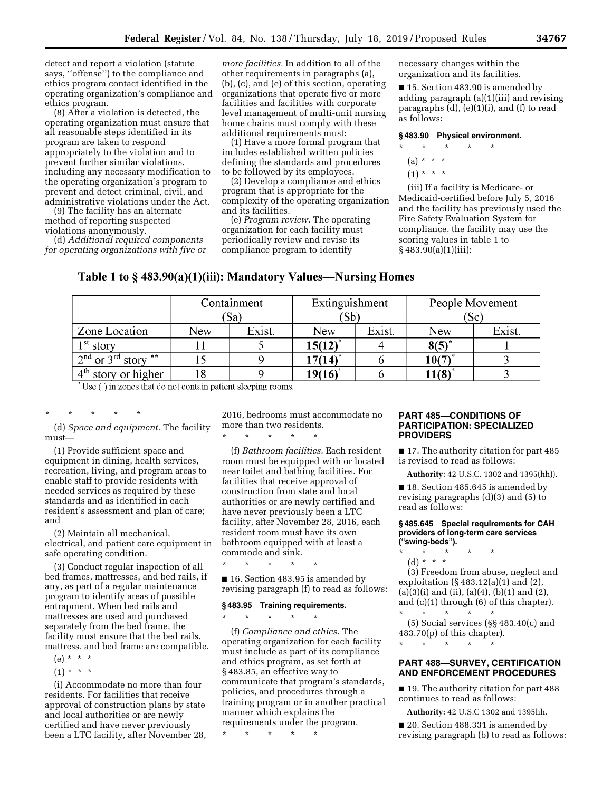detect and report a violation (statute says, ''offense'') to the compliance and ethics program contact identified in the operating organization's compliance and ethics program.

(8) After a violation is detected, the operating organization must ensure that all reasonable steps identified in its program are taken to respond appropriately to the violation and to prevent further similar violations, including any necessary modification to the operating organization's program to prevent and detect criminal, civil, and administrative violations under the Act.

(9) The facility has an alternate method of reporting suspected violations anonymously.

(d) *Additional required components for operating organizations with five or* 

*more facilities.* In addition to all of the other requirements in paragraphs (a), (b), (c), and (e) of this section, operating organizations that operate five or more facilities and facilities with corporate level management of multi-unit nursing home chains must comply with these additional requirements must:

(1) Have a more formal program that includes established written policies defining the standards and procedures to be followed by its employees.

(2) Develop a compliance and ethics program that is appropriate for the complexity of the operating organization and its facilities.

(e) *Program review.* The operating organization for each facility must periodically review and revise its compliance program to identify

necessary changes within the organization and its facilities.

■ 15. Section 483.90 is amended by adding paragraph (a)(1)(iii) and revising paragraphs (d), (e)(1)(i), and (f) to read as follows:

#### **§ 483.90 Physical environment.**

- \* \* \* \* \*
	- $(a) * * * *$
	- $(1) * * * *$

(iii) If a facility is Medicare- or Medicaid-certified before July 5, 2016 and the facility has previously used the Fire Safety Evaluation System for compliance, the facility may use the scoring values in table 1 to  $§ 483.90(a)(1)(iii):$ 

# Table 1 to § 483.90(a)(1)(iii): Mandatory Values-Nursing Homes

| Containment |        | Extinguishment |        | People Movement |        |
|-------------|--------|----------------|--------|-----------------|--------|
|             |        | (Sb)           |        | (Sc)            |        |
| New         | Exist. | New            | Exist. | New             | Exist. |
|             |        | $15(12)^{*}$   |        | $8(5)^{*}$      |        |
| 15          |        | 17(14)*        |        | 10(7)           |        |
| 18          |        | $19(16)^*$     |        | 11(8)           |        |
|             |        | (Sa)           |        |                 |        |

Use () in zones that do not contain patient sleeping rooms.

\* \* \* \* \*

(d) *Space and equipment.* The facility must—

(1) Provide sufficient space and equipment in dining, health services, recreation, living, and program areas to enable staff to provide residents with needed services as required by these standards and as identified in each resident's assessment and plan of care; and

(2) Maintain all mechanical, electrical, and patient care equipment in safe operating condition.

(3) Conduct regular inspection of all bed frames, mattresses, and bed rails, if any, as part of a regular maintenance program to identify areas of possible entrapment. When bed rails and mattresses are used and purchased separately from the bed frame, the facility must ensure that the bed rails, mattress, and bed frame are compatible.

- $(e) * * * *$
- $(1) * * * *$

(i) Accommodate no more than four residents. For facilities that receive approval of construction plans by state and local authorities or are newly certified and have never previously been a LTC facility, after November 28,

2016, bedrooms must accommodate no more than two residents.

\* \* \* \* \*

(f) *Bathroom facilities.* Each resident room must be equipped with or located near toilet and bathing facilities. For facilities that receive approval of construction from state and local authorities or are newly certified and have never previously been a LTC facility, after November 28, 2016, each resident room must have its own bathroom equipped with at least a commode and sink.

\* \* \* \* \*

■ 16. Section 483.95 is amended by revising paragraph (f) to read as follows:

#### **§ 483.95 Training requirements.**

 $\star$   $\star$   $\star$ 

(f) *Compliance and ethics.* The operating organization for each facility must include as part of its compliance and ethics program, as set forth at § 483.85, an effective way to communicate that program's standards, policies, and procedures through a training program or in another practical manner which explains the requirements under the program.

\* \* \* \* \*

# **PART 485—CONDITIONS OF PARTICIPATION: SPECIALIZED PROVIDERS**

■ 17. The authority citation for part 485 is revised to read as follows:

**Authority:** 42 U.S.C. 1302 and 1395(hh)).

■ 18. Section 485.645 is amended by revising paragraphs (d)(3) and (5) to read as follows:

#### **§ 485.645 Special requirements for CAH providers of long-term care services (**''**swing-beds**''**).**

- \* \* \* \* \*
	- (d) \* \* \*

(3) Freedom from abuse, neglect and exploitation (§ 483.12(a)(1) and (2),  $(a)(3)(i)$  and  $(ii)$ ,  $(a)(4)$ ,  $(b)(1)$  and  $(2)$ , and (c)(1) through (6) of this chapter). \* \* \* \* \*

(5) Social services (§§ 483.40(c) and 483.70(p) of this chapter).

\* \* \* \* \*

# **PART 488—SURVEY, CERTIFICATION AND ENFORCEMENT PROCEDURES**

■ 19. The authority citation for part 488 continues to read as follows:

**Authority:** 42 U.S.C 1302 and 1395hh.

■ 20. Section 488.331 is amended by revising paragraph (b) to read as follows: